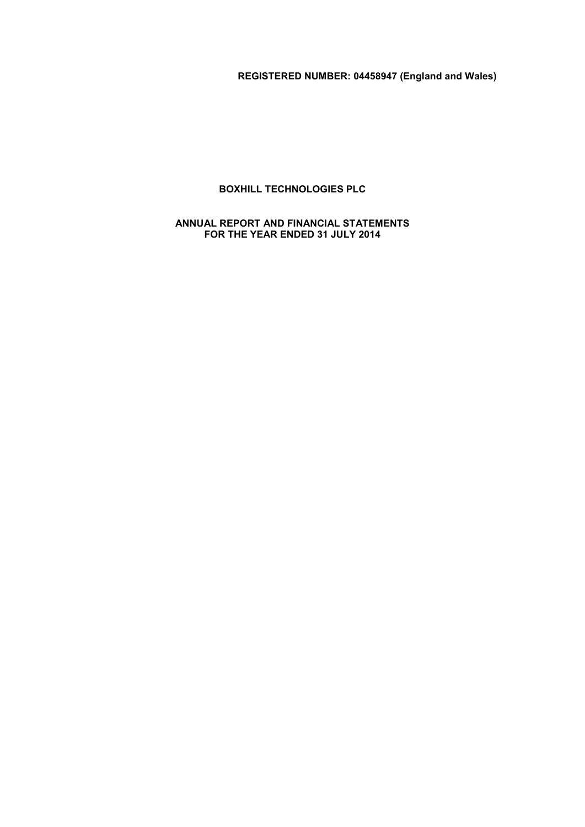**REGISTERED NUMBER: 04458947 (England and Wales)** 

# **BOXHILL TECHNOLOGIES PLC**

# **ANNUAL REPORT AND FINANCIAL STATEMENTS FOR THE YEAR ENDED 31 JULY 2014**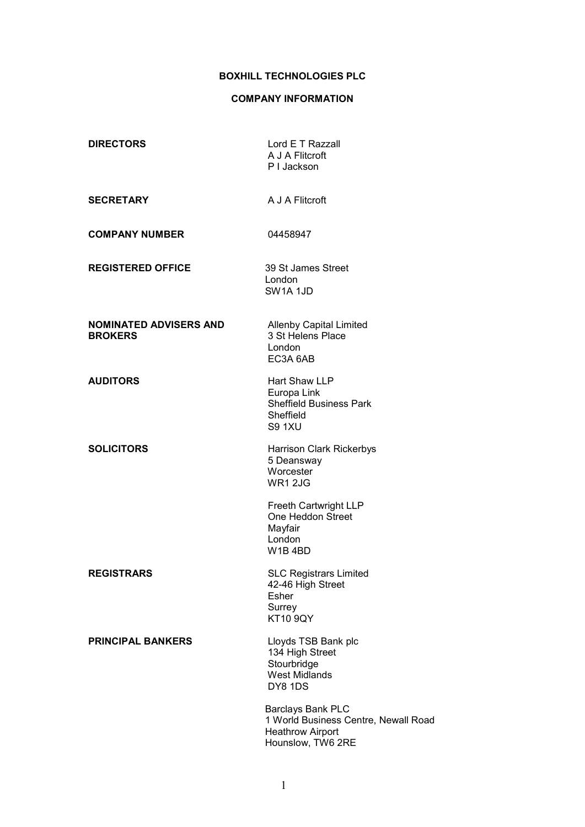# **COMPANY INFORMATION**

| <b>DIRECTORS</b>                                | Lord E T Razzall<br>A J A Flitcroft<br>P I Jackson                                                        |
|-------------------------------------------------|-----------------------------------------------------------------------------------------------------------|
| <b>SECRETARY</b>                                | A J A Flitcroft                                                                                           |
| <b>COMPANY NUMBER</b>                           | 04458947                                                                                                  |
| <b>REGISTERED OFFICE</b>                        | 39 St James Street<br>London<br>SW1A 1JD                                                                  |
| <b>NOMINATED ADVISERS AND</b><br><b>BROKERS</b> | <b>Allenby Capital Limited</b><br>3 St Helens Place<br>London<br>EC3A 6AB                                 |
| <b>AUDITORS</b>                                 | Hart Shaw LLP<br>Europa Link<br><b>Sheffield Business Park</b><br>Sheffield<br>S91XU                      |
| <b>SOLICITORS</b>                               | <b>Harrison Clark Rickerbys</b><br>5 Deansway<br>Worcester<br><b>WR1 2JG</b>                              |
|                                                 | Freeth Cartwright LLP<br>One Heddon Street<br>Mayfair<br>London<br>W <sub>1</sub> B <sub>4</sub> BD       |
| <b>REGISTRARS</b>                               | <b>SLC Registrars Limited</b><br>42-46 High Street<br>Esher<br>Surrey<br><b>KT10 9QY</b>                  |
| <b>PRINCIPAL BANKERS</b>                        | Lloyds TSB Bank plc<br>134 High Street<br>Stourbridge<br><b>West Midlands</b><br>DY8 1DS                  |
|                                                 | Barclays Bank PLC<br>1 World Business Centre, Newall Road<br><b>Heathrow Airport</b><br>Hounslow, TW6 2RE |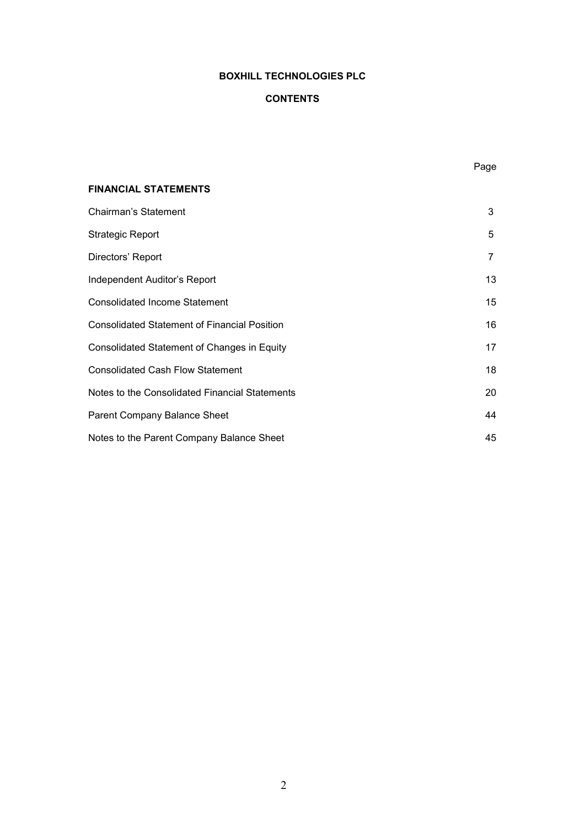# **CONTENTS**

Page

| <b>FINANCIAL STATEMENTS</b>                         |                |
|-----------------------------------------------------|----------------|
| <b>Chairman's Statement</b>                         | 3              |
| <b>Strategic Report</b>                             | 5              |
| Directors' Report                                   | $\overline{7}$ |
| Independent Auditor's Report                        | 13             |
| <b>Consolidated Income Statement</b>                | 15             |
| <b>Consolidated Statement of Financial Position</b> | 16             |
| Consolidated Statement of Changes in Equity         | 17             |
| <b>Consolidated Cash Flow Statement</b>             | 18             |
| Notes to the Consolidated Financial Statements      | 20             |
| Parent Company Balance Sheet                        | 44             |
| Notes to the Parent Company Balance Sheet           | 45             |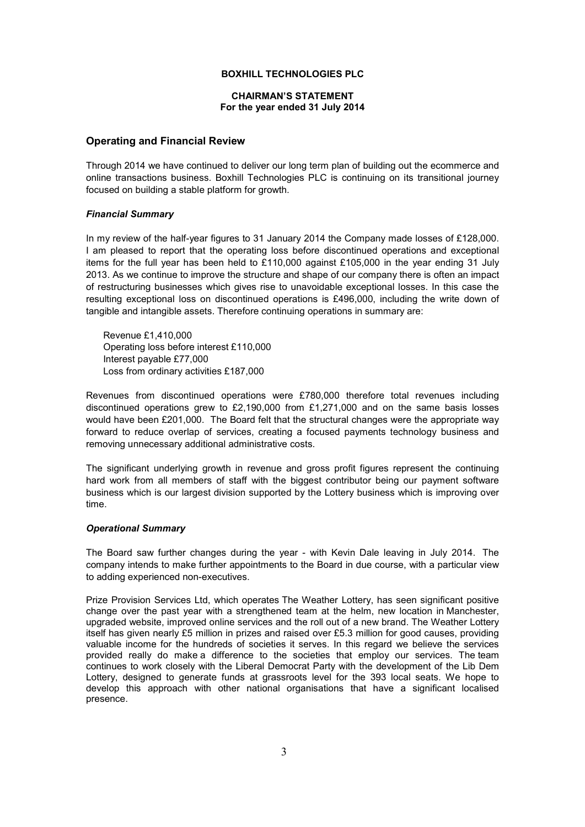### **CHAIRMAN'S STATEMENT For the year ended 31 July 2014**

### **Operating and Financial Review**

Through 2014 we have continued to deliver our long term plan of building out the ecommerce and online transactions business. Boxhill Technologies PLC is continuing on its transitional journey focused on building a stable platform for growth.

### *Financial Summary*

In my review of the half-year figures to 31 January 2014 the Company made losses of £128,000. I am pleased to report that the operating loss before discontinued operations and exceptional items for the full year has been held to £110,000 against £105,000 in the year ending 31 July 2013. As we continue to improve the structure and shape of our company there is often an impact of restructuring businesses which gives rise to unavoidable exceptional losses. In this case the resulting exceptional loss on discontinued operations is £496,000, including the write down of tangible and intangible assets. Therefore continuing operations in summary are:

Revenue £1,410,000 Operating loss before interest £110,000 Interest payable £77,000 Loss from ordinary activities £187,000

Revenues from discontinued operations were £780,000 therefore total revenues including discontinued operations grew to £2,190,000 from £1,271,000 and on the same basis losses would have been £201,000. The Board felt that the structural changes were the appropriate way forward to reduce overlap of services, creating a focused payments technology business and removing unnecessary additional administrative costs.

The significant underlying growth in revenue and gross profit figures represent the continuing hard work from all members of staff with the biggest contributor being our payment software business which is our largest division supported by the Lottery business which is improving over time.

#### *Operational Summary*

The Board saw further changes during the year - with Kevin Dale leaving in July 2014. The company intends to make further appointments to the Board in due course, with a particular view to adding experienced non-executives.

Prize Provision Services Ltd, which operates The Weather Lottery, has seen significant positive change over the past year with a strengthened team at the helm, new location in Manchester, upgraded website, improved online services and the roll out of a new brand. The Weather Lottery itself has given nearly £5 million in prizes and raised over £5.3 million for good causes, providing valuable income for the hundreds of societies it serves. In this regard we believe the services provided really do make a difference to the societies that employ our services. The team continues to work closely with the Liberal Democrat Party with the development of the Lib Dem Lottery, designed to generate funds at grassroots level for the 393 local seats. We hope to develop this approach with other national organisations that have a significant localised presence.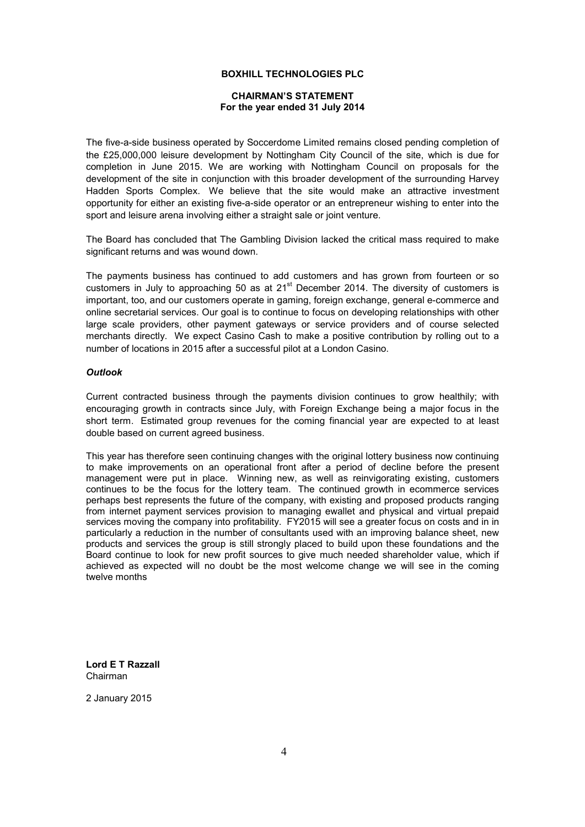### **CHAIRMAN'S STATEMENT For the year ended 31 July 2014**

The five-a-side business operated by Soccerdome Limited remains closed pending completion of the £25,000,000 leisure development by Nottingham City Council of the site, which is due for completion in June 2015. We are working with Nottingham Council on proposals for the development of the site in conjunction with this broader development of the surrounding Harvey Hadden Sports Complex. We believe that the site would make an attractive investment opportunity for either an existing five-a-side operator or an entrepreneur wishing to enter into the sport and leisure arena involving either a straight sale or joint venture.

The Board has concluded that The Gambling Division lacked the critical mass required to make significant returns and was wound down.

The payments business has continued to add customers and has grown from fourteen or so customers in July to approaching 50 as at 21<sup>st</sup> December 2014. The diversity of customers is important, too, and our customers operate in gaming, foreign exchange, general e-commerce and online secretarial services. Our goal is to continue to focus on developing relationships with other large scale providers, other payment gateways or service providers and of course selected merchants directly. We expect Casino Cash to make a positive contribution by rolling out to a number of locations in 2015 after a successful pilot at a London Casino.

### *Outlook*

Current contracted business through the payments division continues to grow healthily; with encouraging growth in contracts since July, with Foreign Exchange being a major focus in the short term. Estimated group revenues for the coming financial year are expected to at least double based on current agreed business.

This year has therefore seen continuing changes with the original lottery business now continuing to make improvements on an operational front after a period of decline before the present management were put in place. Winning new, as well as reinvigorating existing, customers continues to be the focus for the lottery team. The continued growth in ecommerce services perhaps best represents the future of the company, with existing and proposed products ranging from internet payment services provision to managing ewallet and physical and virtual prepaid services moving the company into profitability. FY2015 will see a greater focus on costs and in in particularly a reduction in the number of consultants used with an improving balance sheet, new products and services the group is still strongly placed to build upon these foundations and the Board continue to look for new profit sources to give much needed shareholder value, which if achieved as expected will no doubt be the most welcome change we will see in the coming twelve months

**Lord E T Razzall**  Chairman

2 January 2015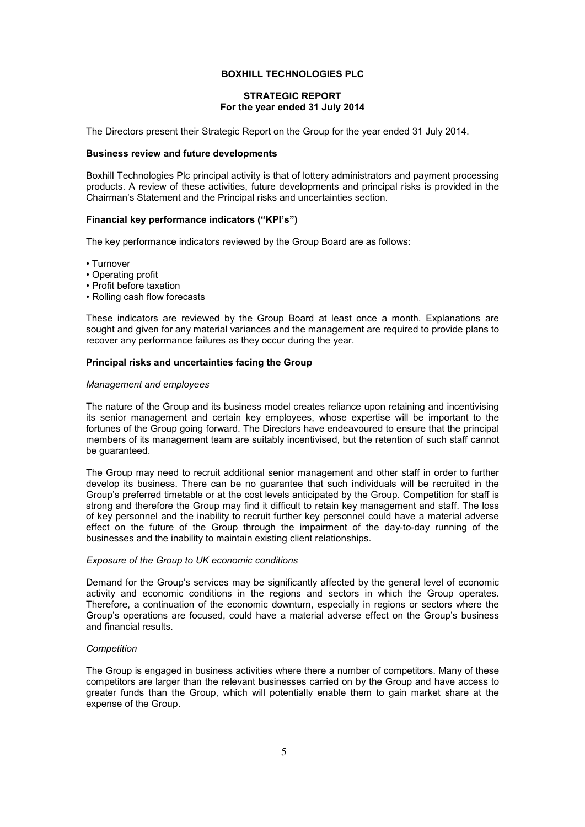## **STRATEGIC REPORT For the year ended 31 July 2014**

The Directors present their Strategic Report on the Group for the year ended 31 July 2014.

#### **Business review and future developments**

Boxhill Technologies Plc principal activity is that of lottery administrators and payment processing products. A review of these activities, future developments and principal risks is provided in the Chairman's Statement and the Principal risks and uncertainties section.

#### **Financial key performance indicators ("KPI's")**

The key performance indicators reviewed by the Group Board are as follows:

- Turnover
- Operating profit
- Profit before taxation
- Rolling cash flow forecasts

These indicators are reviewed by the Group Board at least once a month. Explanations are sought and given for any material variances and the management are required to provide plans to recover any performance failures as they occur during the year.

### **Principal risks and uncertainties facing the Group**

#### *Management and employees*

The nature of the Group and its business model creates reliance upon retaining and incentivising its senior management and certain key employees, whose expertise will be important to the fortunes of the Group going forward. The Directors have endeavoured to ensure that the principal members of its management team are suitably incentivised, but the retention of such staff cannot be guaranteed.

The Group may need to recruit additional senior management and other staff in order to further develop its business. There can be no guarantee that such individuals will be recruited in the Group's preferred timetable or at the cost levels anticipated by the Group. Competition for staff is strong and therefore the Group may find it difficult to retain key management and staff. The loss of key personnel and the inability to recruit further key personnel could have a material adverse effect on the future of the Group through the impairment of the day-to-day running of the businesses and the inability to maintain existing client relationships.

#### *Exposure of the Group to UK economic conditions*

Demand for the Group's services may be significantly affected by the general level of economic activity and economic conditions in the regions and sectors in which the Group operates. Therefore, a continuation of the economic downturn, especially in regions or sectors where the Group's operations are focused, could have a material adverse effect on the Group's business and financial results.

#### *Competition*

The Group is engaged in business activities where there a number of competitors. Many of these competitors are larger than the relevant businesses carried on by the Group and have access to greater funds than the Group, which will potentially enable them to gain market share at the expense of the Group.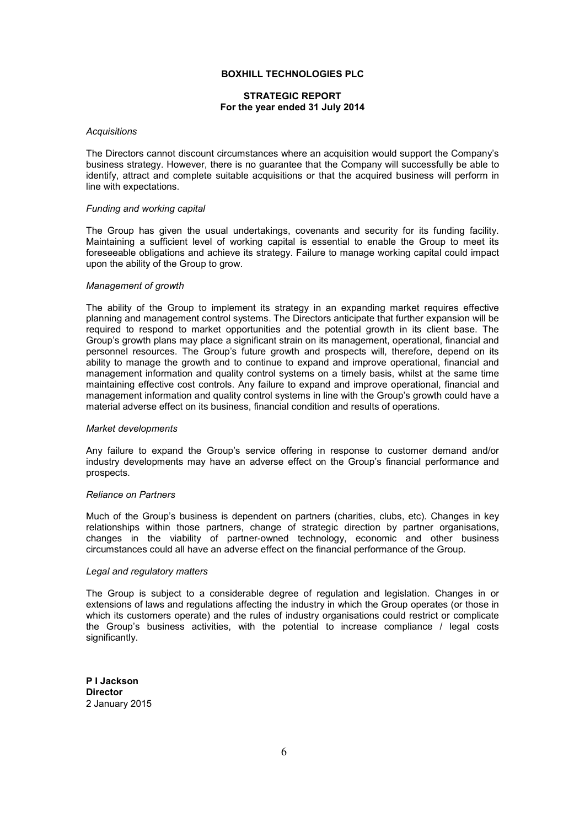### **STRATEGIC REPORT For the year ended 31 July 2014**

#### *Acquisitions*

The Directors cannot discount circumstances where an acquisition would support the Company's business strategy. However, there is no guarantee that the Company will successfully be able to identify, attract and complete suitable acquisitions or that the acquired business will perform in line with expectations.

#### *Funding and working capital*

The Group has given the usual undertakings, covenants and security for its funding facility. Maintaining a sufficient level of working capital is essential to enable the Group to meet its foreseeable obligations and achieve its strategy. Failure to manage working capital could impact upon the ability of the Group to grow.

#### *Management of growth*

The ability of the Group to implement its strategy in an expanding market requires effective planning and management control systems. The Directors anticipate that further expansion will be required to respond to market opportunities and the potential growth in its client base. The Group's growth plans may place a significant strain on its management, operational, financial and personnel resources. The Group's future growth and prospects will, therefore, depend on its ability to manage the growth and to continue to expand and improve operational, financial and management information and quality control systems on a timely basis, whilst at the same time maintaining effective cost controls. Any failure to expand and improve operational, financial and management information and quality control systems in line with the Group's growth could have a material adverse effect on its business, financial condition and results of operations.

#### *Market developments*

Any failure to expand the Group's service offering in response to customer demand and/or industry developments may have an adverse effect on the Group's financial performance and prospects.

#### *Reliance on Partners*

Much of the Group's business is dependent on partners (charities, clubs, etc). Changes in key relationships within those partners, change of strategic direction by partner organisations, changes in the viability of partner-owned technology, economic and other business circumstances could all have an adverse effect on the financial performance of the Group.

#### *Legal and regulatory matters*

The Group is subject to a considerable degree of regulation and legislation. Changes in or extensions of laws and regulations affecting the industry in which the Group operates (or those in which its customers operate) and the rules of industry organisations could restrict or complicate the Group's business activities, with the potential to increase compliance / legal costs significantly.

**P I Jackson Director**  2 January 2015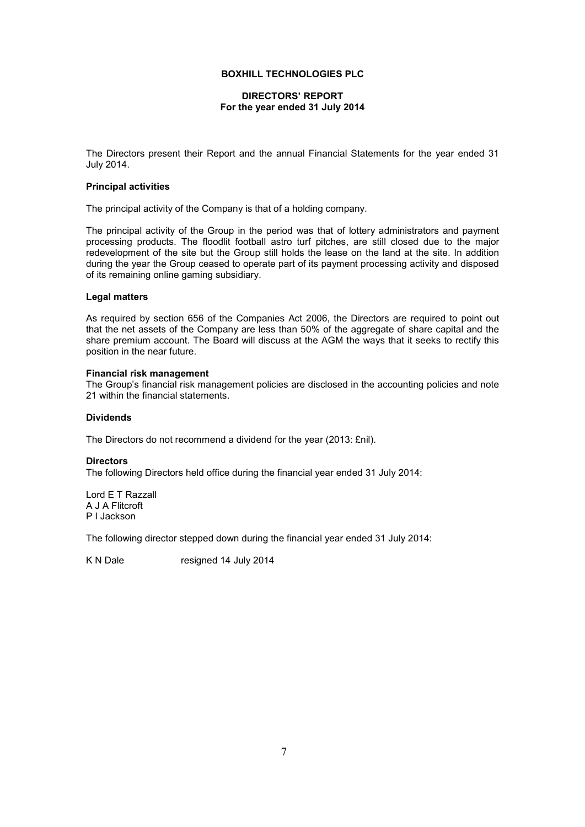### **DIRECTORS' REPORT For the year ended 31 July 2014**

The Directors present their Report and the annual Financial Statements for the year ended 31 July 2014.

### **Principal activities**

The principal activity of the Company is that of a holding company.

The principal activity of the Group in the period was that of lottery administrators and payment processing products. The floodlit football astro turf pitches, are still closed due to the major redevelopment of the site but the Group still holds the lease on the land at the site. In addition during the year the Group ceased to operate part of its payment processing activity and disposed of its remaining online gaming subsidiary.

# **Legal matters**

As required by section 656 of the Companies Act 2006, the Directors are required to point out that the net assets of the Company are less than 50% of the aggregate of share capital and the share premium account. The Board will discuss at the AGM the ways that it seeks to rectify this position in the near future.

### **Financial risk management**

The Group's financial risk management policies are disclosed in the accounting policies and note 21 within the financial statements.

### **Dividends**

The Directors do not recommend a dividend for the year (2013: £nil).

# **Directors**

The following Directors held office during the financial year ended 31 July 2014:

Lord E T Razzall A J A Flitcroft P I Jackson

The following director stepped down during the financial year ended 31 July 2014:

K N Dale resigned 14 July 2014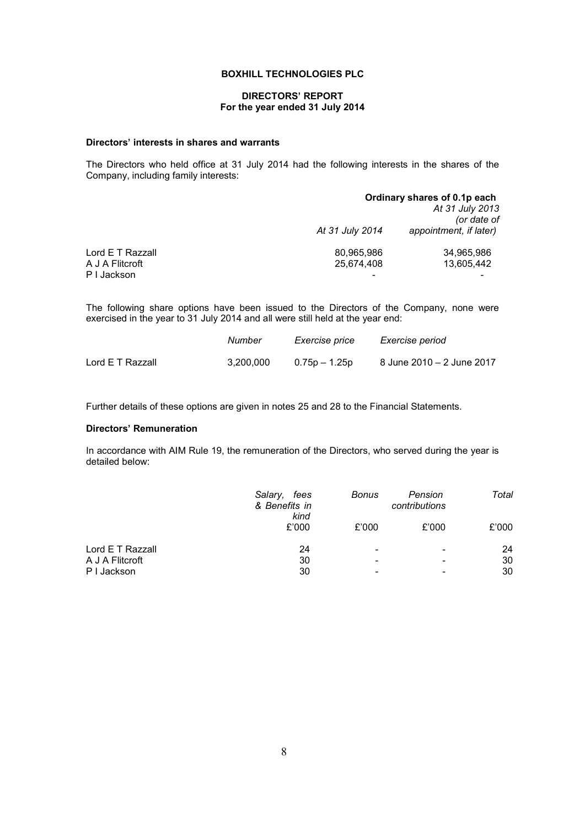# **DIRECTORS' REPORT For the year ended 31 July 2014**

### **Directors' interests in shares and warrants**

The Directors who held office at 31 July 2014 had the following interests in the shares of the Company, including family interests:

|                  | Ordinary shares of 0.1p each |                        |
|------------------|------------------------------|------------------------|
|                  |                              | At 31 July 2013        |
|                  |                              | (or date of            |
|                  | At 31 July 2014              | appointment, if later) |
| Lord E T Razzall | 80,965,986                   | 34,965,986             |
| A J A Flitcroft  | 25.674.408                   | 13,605,442             |
| P I Jackson      |                              |                        |

The following share options have been issued to the Directors of the Company, none were exercised in the year to 31 July 2014 and all were still held at the year end:

|                  | Number    | Exercise price  | Exercise period           |
|------------------|-----------|-----------------|---------------------------|
| Lord E T Razzall | 3.200.000 | $0.75p - 1.25p$ | 8 June 2010 – 2 June 2017 |

Further details of these options are given in notes 25 and 28 to the Financial Statements.

# **Directors' Remuneration**

In accordance with AIM Rule 19, the remuneration of the Directors, who served during the year is detailed below:

|                  | Salary,<br>fees<br>& Benefits in<br>kind | Bonus | Pension<br>contributions | Total |
|------------------|------------------------------------------|-------|--------------------------|-------|
|                  | £'000                                    | £'000 | £'000                    | £'000 |
| Lord E T Razzall | 24                                       | -     | $\qquad \qquad$          | 24    |
| A J A Flitcroft  | 30                                       | -     | $\overline{\phantom{0}}$ | 30    |
| P I Jackson      | 30                                       | -     | $\overline{\phantom{0}}$ | 30    |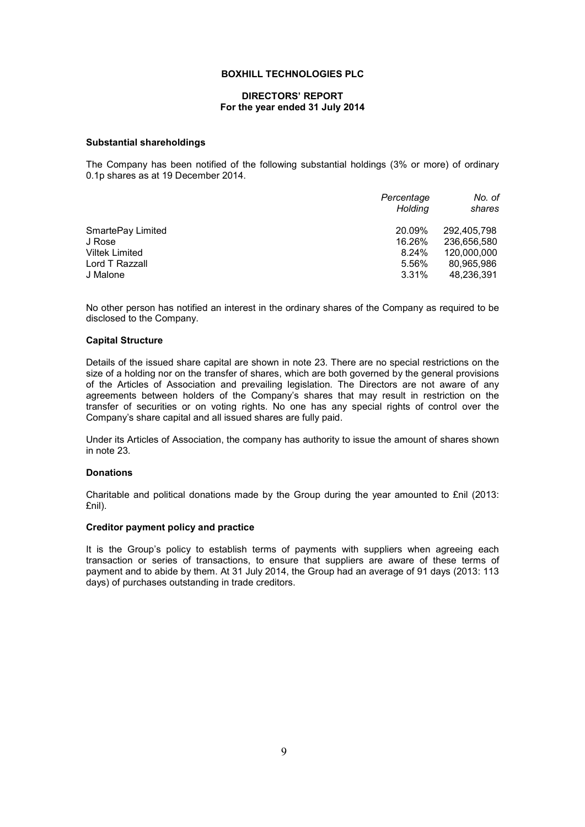### **DIRECTORS' REPORT For the year ended 31 July 2014**

#### **Substantial shareholdings**

The Company has been notified of the following substantial holdings (3% or more) of ordinary 0.1p shares as at 19 December 2014.

|                       | Percentage<br>Holding | No. of<br>shares |
|-----------------------|-----------------------|------------------|
| SmartePay Limited     | 20.09%                | 292.405.798      |
| J Rose                | 16.26%                | 236,656,580      |
| <b>Viltek Limited</b> | 8.24%                 | 120.000.000      |
| Lord T Razzall        | 5.56%                 | 80.965.986       |
| J Malone              | 3.31%                 | 48,236,391       |

No other person has notified an interest in the ordinary shares of the Company as required to be disclosed to the Company.

# **Capital Structure**

Details of the issued share capital are shown in note 23. There are no special restrictions on the size of a holding nor on the transfer of shares, which are both governed by the general provisions of the Articles of Association and prevailing legislation. The Directors are not aware of any agreements between holders of the Company's shares that may result in restriction on the transfer of securities or on voting rights. No one has any special rights of control over the Company's share capital and all issued shares are fully paid.

Under its Articles of Association, the company has authority to issue the amount of shares shown in note 23.

# **Donations**

Charitable and political donations made by the Group during the year amounted to £nil (2013: £nil).

#### **Creditor payment policy and practice**

It is the Group's policy to establish terms of payments with suppliers when agreeing each transaction or series of transactions, to ensure that suppliers are aware of these terms of payment and to abide by them. At 31 July 2014, the Group had an average of 91 days (2013: 113 days) of purchases outstanding in trade creditors.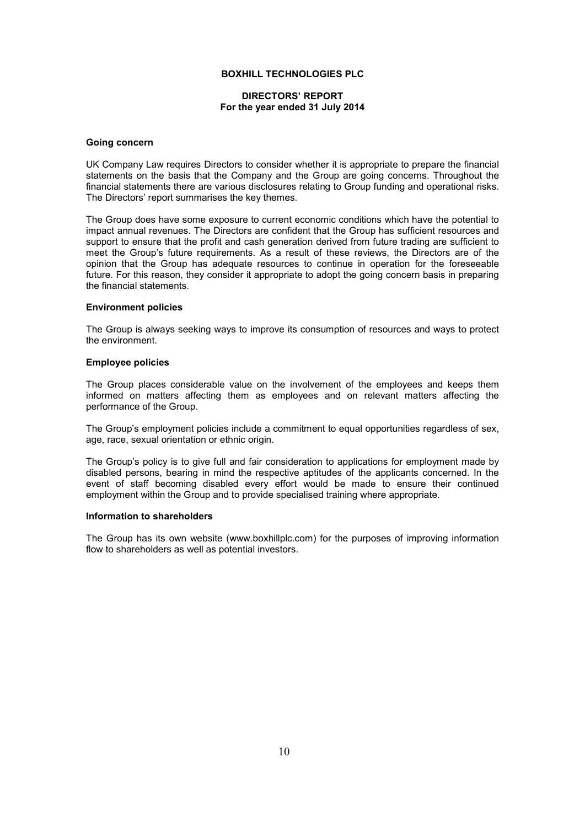### **DIRECTORS' REPORT For the year ended 31 July 2014**

### **Going concern**

UK Company Law requires Directors to consider whether it is appropriate to prepare the financial statements on the basis that the Company and the Group are going concerns. Throughout the financial statements there are various disclosures relating to Group funding and operational risks. The Directors' report summarises the key themes.

The Group does have some exposure to current economic conditions which have the potential to impact annual revenues. The Directors are confident that the Group has sufficient resources and support to ensure that the profit and cash generation derived from future trading are sufficient to meet the Group's future requirements. As a result of these reviews, the Directors are of the opinion that the Group has adequate resources to continue in operation for the foreseeable future. For this reason, they consider it appropriate to adopt the going concern basis in preparing the financial statements.

#### **Environment policies**

The Group is always seeking ways to improve its consumption of resources and ways to protect the environment.

#### **Employee policies**

The Group places considerable value on the involvement of the employees and keeps them informed on matters affecting them as employees and on relevant matters affecting the performance of the Group.

The Group's employment policies include a commitment to equal opportunities regardless of sex, age, race, sexual orientation or ethnic origin.

The Group's policy is to give full and fair consideration to applications for employment made by disabled persons, bearing in mind the respective aptitudes of the applicants concerned. In the event of staff becoming disabled every effort would be made to ensure their continued employment within the Group and to provide specialised training where appropriate.

#### **Information to shareholders**

The Group has its own website (www.boxhillplc.com) for the purposes of improving information flow to shareholders as well as potential investors.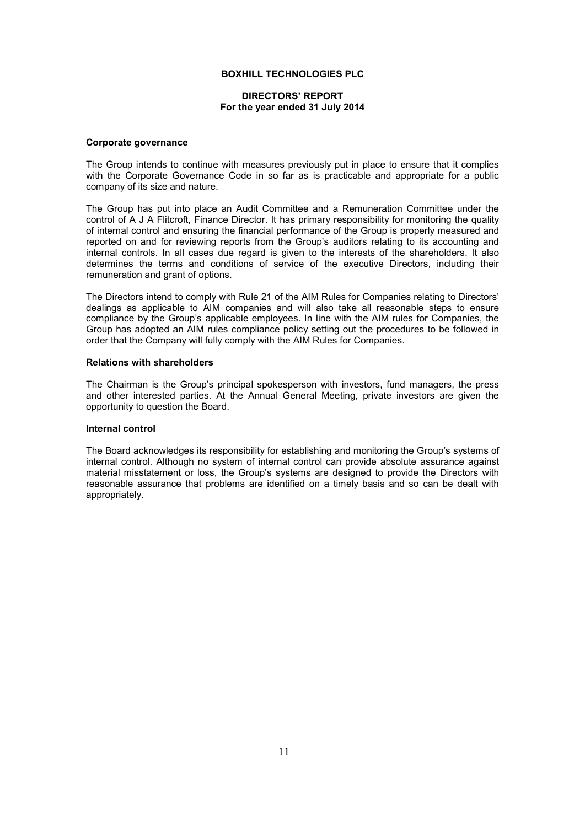### **DIRECTORS' REPORT For the year ended 31 July 2014**

#### **Corporate governance**

The Group intends to continue with measures previously put in place to ensure that it complies with the Corporate Governance Code in so far as is practicable and appropriate for a public company of its size and nature.

The Group has put into place an Audit Committee and a Remuneration Committee under the control of A J A Flitcroft, Finance Director. It has primary responsibility for monitoring the quality of internal control and ensuring the financial performance of the Group is properly measured and reported on and for reviewing reports from the Group's auditors relating to its accounting and internal controls. In all cases due regard is given to the interests of the shareholders. It also determines the terms and conditions of service of the executive Directors, including their remuneration and grant of options.

The Directors intend to comply with Rule 21 of the AIM Rules for Companies relating to Directors' dealings as applicable to AIM companies and will also take all reasonable steps to ensure compliance by the Group's applicable employees. In line with the AIM rules for Companies, the Group has adopted an AIM rules compliance policy setting out the procedures to be followed in order that the Company will fully comply with the AIM Rules for Companies.

# **Relations with shareholders**

The Chairman is the Group's principal spokesperson with investors, fund managers, the press and other interested parties. At the Annual General Meeting, private investors are given the opportunity to question the Board.

#### **Internal control**

The Board acknowledges its responsibility for establishing and monitoring the Group's systems of internal control. Although no system of internal control can provide absolute assurance against material misstatement or loss, the Group's systems are designed to provide the Directors with reasonable assurance that problems are identified on a timely basis and so can be dealt with appropriately.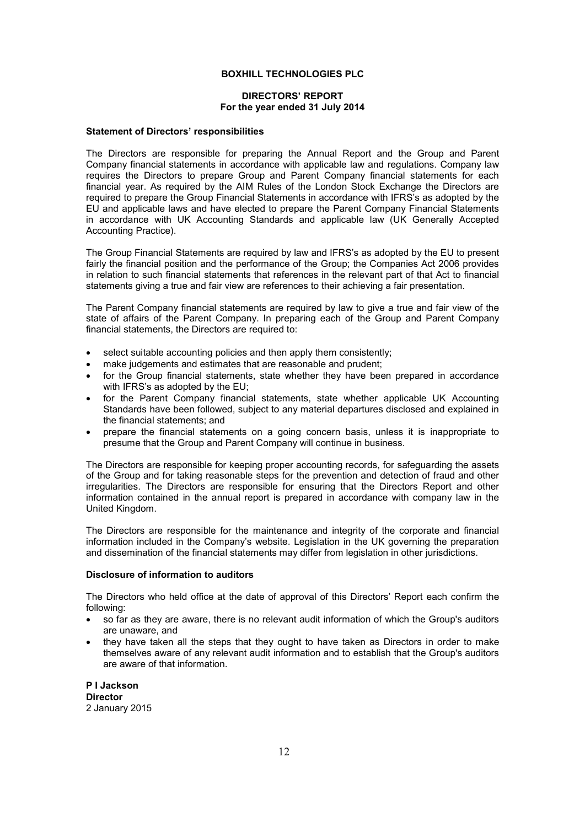### **DIRECTORS' REPORT For the year ended 31 July 2014**

#### **Statement of Directors' responsibilities**

The Directors are responsible for preparing the Annual Report and the Group and Parent Company financial statements in accordance with applicable law and regulations. Company law requires the Directors to prepare Group and Parent Company financial statements for each financial year. As required by the AIM Rules of the London Stock Exchange the Directors are required to prepare the Group Financial Statements in accordance with IFRS's as adopted by the EU and applicable laws and have elected to prepare the Parent Company Financial Statements in accordance with UK Accounting Standards and applicable law (UK Generally Accepted Accounting Practice).

The Group Financial Statements are required by law and IFRS's as adopted by the EU to present fairly the financial position and the performance of the Group; the Companies Act 2006 provides in relation to such financial statements that references in the relevant part of that Act to financial statements giving a true and fair view are references to their achieving a fair presentation.

The Parent Company financial statements are required by law to give a true and fair view of the state of affairs of the Parent Company. In preparing each of the Group and Parent Company financial statements, the Directors are required to:

- select suitable accounting policies and then apply them consistently;
- make judgements and estimates that are reasonable and prudent:
- for the Group financial statements, state whether they have been prepared in accordance with IFRS's as adopted by the EU;
- for the Parent Company financial statements, state whether applicable UK Accounting Standards have been followed, subject to any material departures disclosed and explained in the financial statements; and
- prepare the financial statements on a going concern basis, unless it is inappropriate to presume that the Group and Parent Company will continue in business.

The Directors are responsible for keeping proper accounting records, for safeguarding the assets of the Group and for taking reasonable steps for the prevention and detection of fraud and other irregularities. The Directors are responsible for ensuring that the Directors Report and other information contained in the annual report is prepared in accordance with company law in the United Kingdom.

The Directors are responsible for the maintenance and integrity of the corporate and financial information included in the Company's website. Legislation in the UK governing the preparation and dissemination of the financial statements may differ from legislation in other jurisdictions.

# **Disclosure of information to auditors**

The Directors who held office at the date of approval of this Directors' Report each confirm the following:

- so far as they are aware, there is no relevant audit information of which the Group's auditors are unaware, and
- they have taken all the steps that they ought to have taken as Directors in order to make themselves aware of any relevant audit information and to establish that the Group's auditors are aware of that information.

**P I Jackson Director**  2 January 2015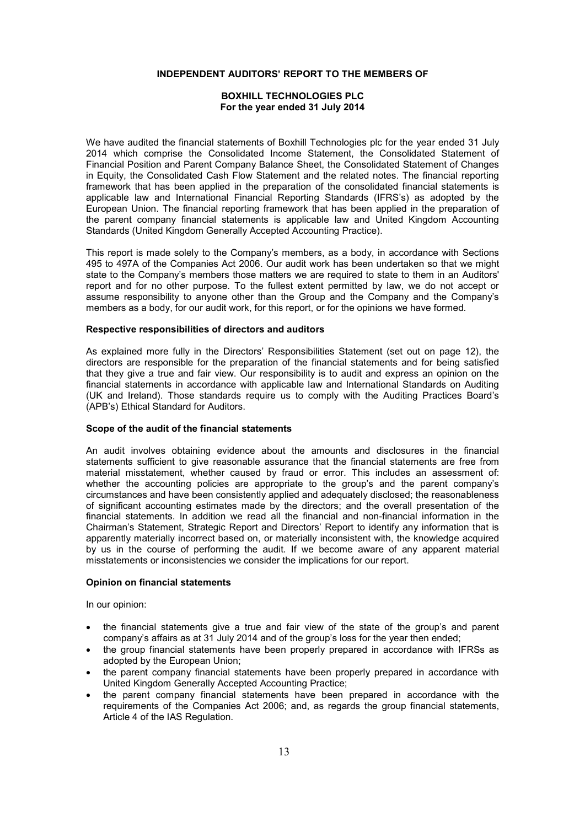#### **INDEPENDENT AUDITORS' REPORT TO THE MEMBERS OF**

# **BOXHILL TECHNOLOGIES PLC For the year ended 31 July 2014**

We have audited the financial statements of Boxhill Technologies plc for the year ended 31 July 2014 which comprise the Consolidated Income Statement, the Consolidated Statement of Financial Position and Parent Company Balance Sheet, the Consolidated Statement of Changes in Equity, the Consolidated Cash Flow Statement and the related notes. The financial reporting framework that has been applied in the preparation of the consolidated financial statements is applicable law and International Financial Reporting Standards (IFRS's) as adopted by the European Union. The financial reporting framework that has been applied in the preparation of the parent company financial statements is applicable law and United Kingdom Accounting Standards (United Kingdom Generally Accepted Accounting Practice).

This report is made solely to the Company's members, as a body, in accordance with Sections 495 to 497A of the Companies Act 2006. Our audit work has been undertaken so that we might state to the Company's members those matters we are required to state to them in an Auditors' report and for no other purpose. To the fullest extent permitted by law, we do not accept or assume responsibility to anyone other than the Group and the Company and the Company's members as a body, for our audit work, for this report, or for the opinions we have formed.

# **Respective responsibilities of directors and auditors**

As explained more fully in the Directors' Responsibilities Statement (set out on page 12), the directors are responsible for the preparation of the financial statements and for being satisfied that they give a true and fair view. Our responsibility is to audit and express an opinion on the financial statements in accordance with applicable law and International Standards on Auditing (UK and Ireland). Those standards require us to comply with the Auditing Practices Board's (APB's) Ethical Standard for Auditors.

#### **Scope of the audit of the financial statements**

An audit involves obtaining evidence about the amounts and disclosures in the financial statements sufficient to give reasonable assurance that the financial statements are free from material misstatement, whether caused by fraud or error. This includes an assessment of: whether the accounting policies are appropriate to the group's and the parent company's circumstances and have been consistently applied and adequately disclosed; the reasonableness of significant accounting estimates made by the directors; and the overall presentation of the financial statements. In addition we read all the financial and non-financial information in the Chairman's Statement, Strategic Report and Directors' Report to identify any information that is apparently materially incorrect based on, or materially inconsistent with, the knowledge acquired by us in the course of performing the audit. If we become aware of any apparent material misstatements or inconsistencies we consider the implications for our report.

#### **Opinion on financial statements**

In our opinion:

- the financial statements give a true and fair view of the state of the group's and parent company's affairs as at 31 July 2014 and of the group's loss for the year then ended;
- the group financial statements have been properly prepared in accordance with IFRSs as adopted by the European Union;
- the parent company financial statements have been properly prepared in accordance with United Kingdom Generally Accepted Accounting Practice;
- the parent company financial statements have been prepared in accordance with the requirements of the Companies Act 2006; and, as regards the group financial statements, Article 4 of the IAS Regulation.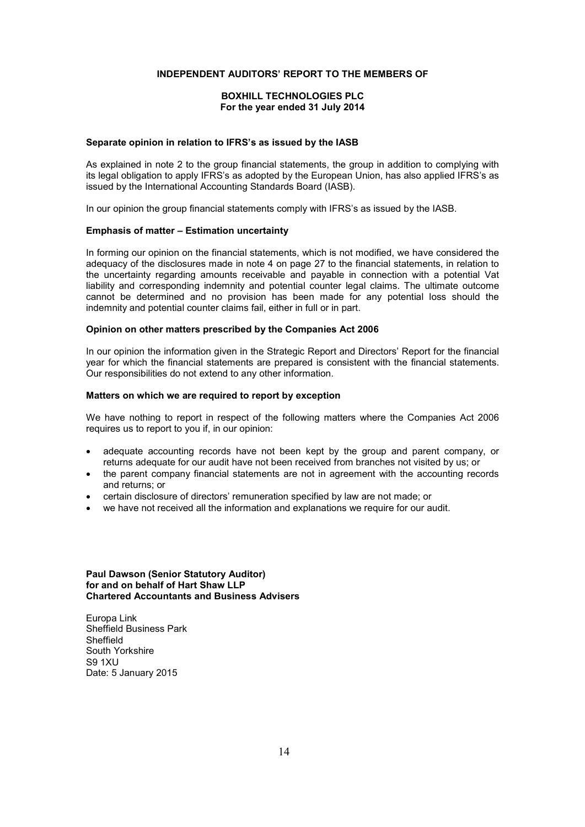#### **INDEPENDENT AUDITORS' REPORT TO THE MEMBERS OF**

### **BOXHILL TECHNOLOGIES PLC For the year ended 31 July 2014**

#### **Separate opinion in relation to IFRS's as issued by the IASB**

As explained in note 2 to the group financial statements, the group in addition to complying with its legal obligation to apply IFRS's as adopted by the European Union, has also applied IFRS's as issued by the International Accounting Standards Board (IASB).

In our opinion the group financial statements comply with IFRS's as issued by the IASB.

### **Emphasis of matter – Estimation uncertainty**

In forming our opinion on the financial statements, which is not modified, we have considered the adequacy of the disclosures made in note 4 on page 27 to the financial statements, in relation to the uncertainty regarding amounts receivable and payable in connection with a potential Vat liability and corresponding indemnity and potential counter legal claims. The ultimate outcome cannot be determined and no provision has been made for any potential loss should the indemnity and potential counter claims fail, either in full or in part.

#### **Opinion on other matters prescribed by the Companies Act 2006**

In our opinion the information given in the Strategic Report and Directors' Report for the financial year for which the financial statements are prepared is consistent with the financial statements. Our responsibilities do not extend to any other information.

### **Matters on which we are required to report by exception**

We have nothing to report in respect of the following matters where the Companies Act 2006 requires us to report to you if, in our opinion:

- adequate accounting records have not been kept by the group and parent company, or returns adequate for our audit have not been received from branches not visited by us; or
- the parent company financial statements are not in agreement with the accounting records and returns; or
- certain disclosure of directors' remuneration specified by law are not made; or
- we have not received all the information and explanations we require for our audit.

### **Paul Dawson (Senior Statutory Auditor) for and on behalf of Hart Shaw LLP Chartered Accountants and Business Advisers**

Europa Link Sheffield Business Park Sheffield South Yorkshire S9 1XU Date: 5 January 2015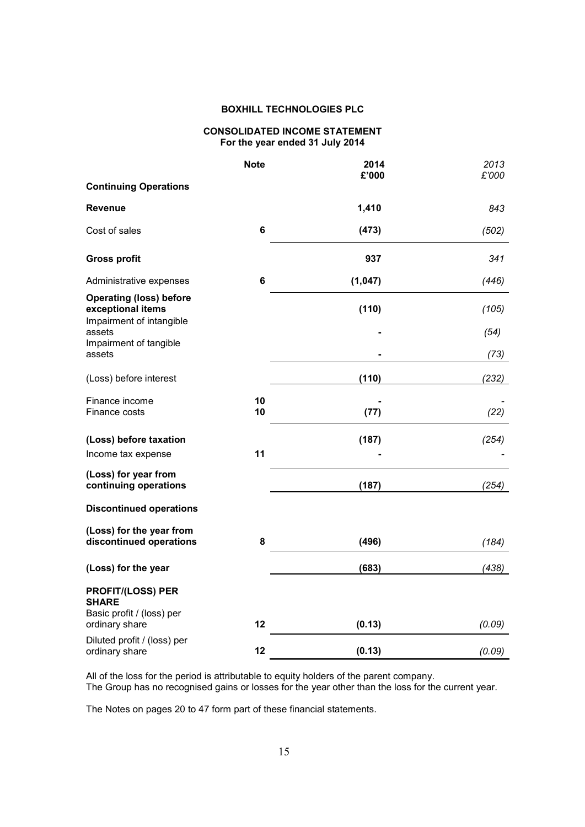# **CONSOLIDATED INCOME STATEMENT For the year ended 31 July 2014**

|                                                                                 | <b>Note</b> | 2014<br>£'000 | 2013<br>£'000 |
|---------------------------------------------------------------------------------|-------------|---------------|---------------|
| <b>Continuing Operations</b>                                                    |             |               |               |
| <b>Revenue</b>                                                                  |             | 1,410         | 843           |
| Cost of sales                                                                   | $\bf 6$     | (473)         | (502)         |
| <b>Gross profit</b>                                                             |             | 937           | 341           |
| Administrative expenses                                                         | 6           | (1,047)       | (446)         |
| <b>Operating (loss) before</b><br>exceptional items<br>Impairment of intangible |             | (110)         | (105)         |
| assets<br>Impairment of tangible                                                |             |               | (54)          |
| assets                                                                          |             |               | (73)          |
| (Loss) before interest                                                          |             | (110)         | (232)         |
| Finance income<br>Finance costs                                                 | 10<br>10    | (77)          | (22)          |
| (Loss) before taxation<br>Income tax expense                                    | 11          | (187)         | (254)         |
| (Loss) for year from<br>continuing operations                                   |             | (187)         | (254)         |
| <b>Discontinued operations</b>                                                  |             |               |               |
| (Loss) for the year from<br>discontinued operations                             | 8           | (496)         | (184)         |
| (Loss) for the year                                                             |             | (683)         | (438)         |
| <b>PROFIT/(LOSS) PER</b><br><b>SHARE</b>                                        |             |               |               |
| Basic profit / (loss) per<br>ordinary share                                     | 12          | (0.13)        | (0.09)        |
| Diluted profit / (loss) per<br>ordinary share                                   | 12          | (0.13)        | (0.09)        |

All of the loss for the period is attributable to equity holders of the parent company. The Group has no recognised gains or losses for the year other than the loss for the current year.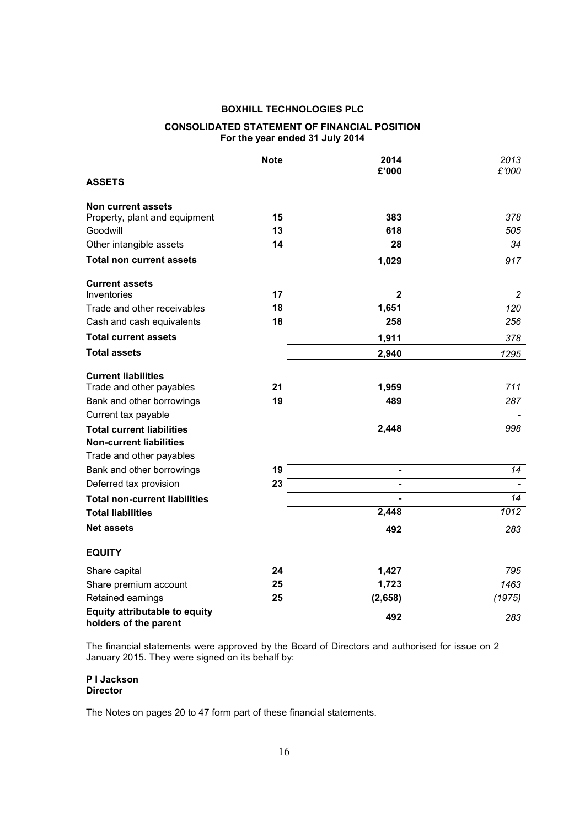# **CONSOLIDATED STATEMENT OF FINANCIAL POSITION For the year ended 31 July 2014**

|                                                               | <b>Note</b> | 2014<br>£'000 | 2013<br>£'000   |
|---------------------------------------------------------------|-------------|---------------|-----------------|
| <b>ASSETS</b>                                                 |             |               |                 |
| <b>Non current assets</b>                                     |             |               |                 |
| Property, plant and equipment                                 | 15          | 383           | 378             |
| Goodwill                                                      | 13          | 618           | 505             |
| Other intangible assets                                       | 14          | 28            | 34              |
| <b>Total non current assets</b>                               |             | 1,029         | 917             |
| <b>Current assets</b>                                         |             |               |                 |
| Inventories                                                   | 17          | $\mathbf{2}$  | 2               |
| Trade and other receivables                                   | 18          | 1,651         | 120             |
| Cash and cash equivalents                                     | 18          | 258           | 256             |
| <b>Total current assets</b>                                   |             | 1,911         | 378             |
| <b>Total assets</b>                                           |             | 2,940         | 1295            |
| <b>Current liabilities</b>                                    |             |               |                 |
| Trade and other payables                                      | 21          | 1,959         | 711             |
| Bank and other borrowings                                     | 19          | 489           | 287             |
| Current tax payable                                           |             |               |                 |
| <b>Total current liabilities</b>                              |             | 2,448         | 998             |
| <b>Non-current liabilities</b>                                |             |               |                 |
| Trade and other payables                                      |             |               |                 |
| Bank and other borrowings                                     | 19          |               | $\overline{14}$ |
| Deferred tax provision                                        | 23          |               |                 |
| <b>Total non-current liabilities</b>                          |             |               | $\overline{14}$ |
| <b>Total liabilities</b>                                      |             | 2,448         | 1012            |
| <b>Net assets</b>                                             |             | 492           | 283             |
| <b>EQUITY</b>                                                 |             |               |                 |
| Share capital                                                 | 24          | 1,427         | 795             |
| Share premium account                                         | 25          | 1,723         | 1463            |
| Retained earnings                                             | 25          | (2,658)       | (1975)          |
| <b>Equity attributable to equity</b><br>holders of the parent |             | 492           | 283             |

The financial statements were approved by the Board of Directors and authorised for issue on 2 January 2015. They were signed on its behalf by:

## **P I Jackson Director**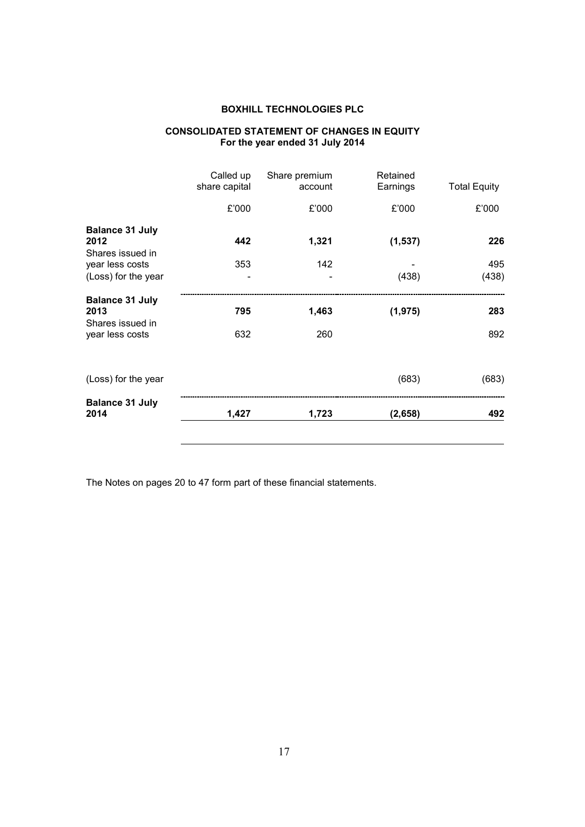# **CONSOLIDATED STATEMENT OF CHANGES IN EQUITY For the year ended 31 July 2014**

| 2014                                               | 1,427                      | 1,723                    | (2,658)              | 492                 |
|----------------------------------------------------|----------------------------|--------------------------|----------------------|---------------------|
| <b>Balance 31 July</b>                             |                            |                          |                      |                     |
| (Loss) for the year                                |                            |                          | (683)                | (683)               |
| Shares issued in<br>year less costs                | 632                        | 260                      |                      | 892                 |
| <b>Balance 31 July</b><br>2013                     | 795                        | 1,463                    | (1, 975)             | 283                 |
| year less costs<br>(Loss) for the year             |                            |                          | (438)                | (438)               |
| <b>Balance 31 July</b><br>2012<br>Shares issued in | 442<br>353                 | 1,321<br>142             | (1, 537)             | 226<br>495          |
|                                                    | £'000                      | £'000                    | £'000                | £'000               |
|                                                    | Called up<br>share capital | Share premium<br>account | Retained<br>Earnings | <b>Total Equity</b> |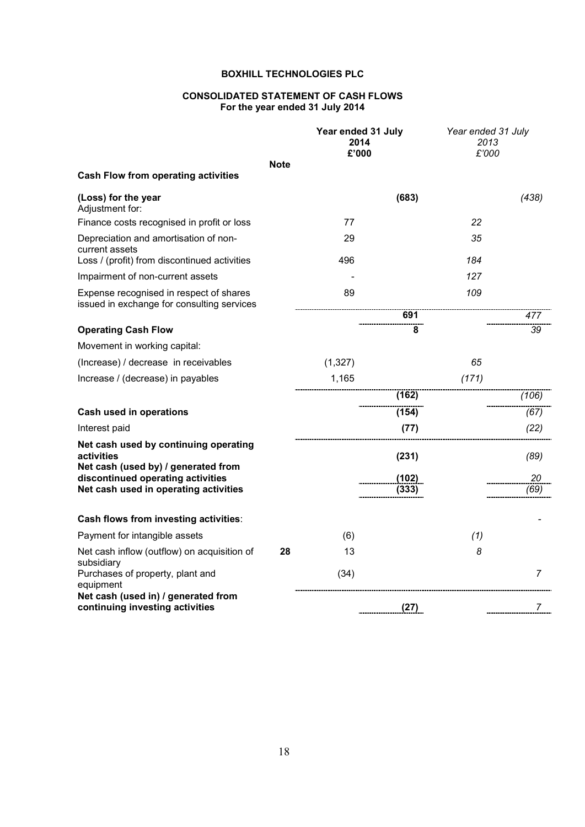# **CONSOLIDATED STATEMENT OF CASH FLOWS For the year ended 31 July 2014**

|                                                                                            |             | £'000    | Year ended 31 July<br>2014 | Year ended 31 July<br>2013<br>£'000 |       |
|--------------------------------------------------------------------------------------------|-------------|----------|----------------------------|-------------------------------------|-------|
|                                                                                            | <b>Note</b> |          |                            |                                     |       |
| <b>Cash Flow from operating activities</b>                                                 |             |          |                            |                                     |       |
| (Loss) for the year<br>Adjustment for:                                                     |             |          | (683)                      |                                     | (438) |
| Finance costs recognised in profit or loss                                                 |             | 77       |                            | 22                                  |       |
| Depreciation and amortisation of non-<br>current assets                                    |             | 29       |                            | 35                                  |       |
| Loss / (profit) from discontinued activities                                               |             | 496      |                            | 184                                 |       |
| Impairment of non-current assets                                                           |             |          |                            | 127                                 |       |
| Expense recognised in respect of shares<br>issued in exchange for consulting services      |             | 89       |                            | 109                                 |       |
|                                                                                            |             |          | 691                        |                                     | 477   |
| <b>Operating Cash Flow</b>                                                                 |             |          | 8                          |                                     | 39    |
| Movement in working capital:                                                               |             |          |                            |                                     |       |
| (Increase) / decrease in receivables                                                       |             | (1, 327) |                            | 65                                  |       |
| Increase / (decrease) in payables                                                          |             | 1,165    |                            | (171)                               |       |
|                                                                                            |             |          | (162)                      |                                     | (106) |
| Cash used in operations                                                                    |             |          | (154)                      |                                     | (67)  |
| Interest paid                                                                              |             |          | (77)                       |                                     | (22)  |
| Net cash used by continuing operating<br>activities<br>Net cash (used by) / generated from |             |          | (231)                      |                                     | (89)  |
| discontinued operating activities                                                          |             |          | (102)                      |                                     | 20    |
| Net cash used in operating activities                                                      |             |          | (333)                      |                                     | (69)  |
| Cash flows from investing activities:                                                      |             |          |                            |                                     |       |
| Payment for intangible assets                                                              |             | (6)      |                            | (1)                                 |       |
| Net cash inflow (outflow) on acquisition of<br>subsidiary                                  | 28          | 13       |                            | 8                                   |       |
| Purchases of property, plant and<br>equipment                                              |             | (34)     |                            |                                     | 7     |
| Net cash (used in) / generated from<br>continuing investing activities                     |             |          | (27)                       |                                     | 7     |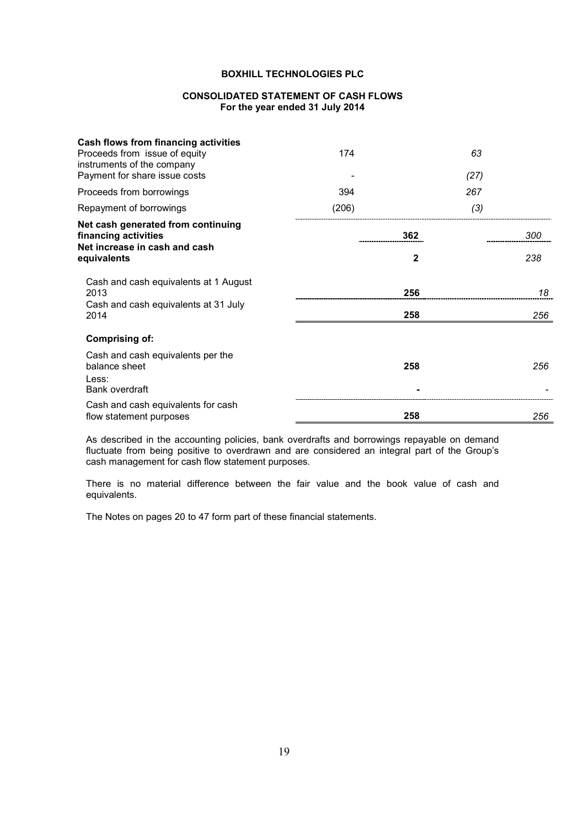# **CONSOLIDATED STATEMENT OF CASH FLOWS For the year ended 31 July 2014**

| Cash flows from financing activities<br>Proceeds from issue of equity<br>instruments of the company        | 174   |                     | 63   |            |
|------------------------------------------------------------------------------------------------------------|-------|---------------------|------|------------|
| Payment for share issue costs                                                                              |       |                     | (27) |            |
| Proceeds from borrowings                                                                                   | 394   |                     | 267  |            |
| Repayment of borrowings                                                                                    | (206) |                     | (3)  |            |
| Net cash generated from continuing<br>financing activities<br>Net increase in cash and cash<br>equivalents |       | 362<br>$\mathbf{2}$ |      | 300<br>238 |
|                                                                                                            |       |                     |      |            |
| Cash and cash equivalents at 1 August<br>2013                                                              |       | 256                 |      | 18         |
| Cash and cash equivalents at 31 July<br>2014                                                               |       | 258                 |      | 256        |
| <b>Comprising of:</b>                                                                                      |       |                     |      |            |
| Cash and cash equivalents per the<br>balance sheet<br>Less:<br>Bank overdraft                              |       | 258                 |      | 256        |
| Cash and cash equivalents for cash<br>flow statement purposes                                              |       | 258                 |      | 256        |

As described in the accounting policies, bank overdrafts and borrowings repayable on demand fluctuate from being positive to overdrawn and are considered an integral part of the Group's cash management for cash flow statement purposes.

There is no material difference between the fair value and the book value of cash and equivalents.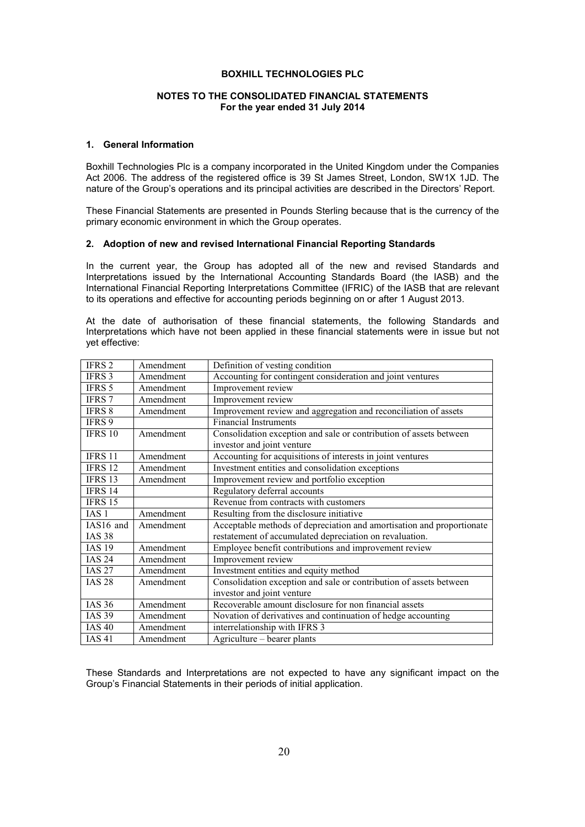### **NOTES TO THE CONSOLIDATED FINANCIAL STATEMENTS For the year ended 31 July 2014**

# **1. General Information**

Boxhill Technologies Plc is a company incorporated in the United Kingdom under the Companies Act 2006. The address of the registered office is 39 St James Street, London, SW1X 1JD. The nature of the Group's operations and its principal activities are described in the Directors' Report.

These Financial Statements are presented in Pounds Sterling because that is the currency of the primary economic environment in which the Group operates.

# **2. Adoption of new and revised International Financial Reporting Standards**

In the current year, the Group has adopted all of the new and revised Standards and Interpretations issued by the International Accounting Standards Board (the IASB) and the International Financial Reporting Interpretations Committee (IFRIC) of the IASB that are relevant to its operations and effective for accounting periods beginning on or after 1 August 2013.

At the date of authorisation of these financial statements, the following Standards and Interpretations which have not been applied in these financial statements were in issue but not yet effective:

| <b>IFRS 2</b>     | Amendment | Definition of vesting condition                                       |
|-------------------|-----------|-----------------------------------------------------------------------|
| <b>IFRS 3</b>     | Amendment | Accounting for contingent consideration and joint ventures            |
| <b>IFRS 5</b>     | Amendment | Improvement review                                                    |
| IFRS <sub>7</sub> | Amendment | Improvement review                                                    |
| <b>IFRS 8</b>     | Amendment | Improvement review and aggregation and reconciliation of assets       |
| IFRS 9            |           | Financial Instruments                                                 |
| <b>IFRS 10</b>    | Amendment | Consolidation exception and sale or contribution of assets between    |
|                   |           | investor and joint venture                                            |
| IFRS 11           | Amendment | Accounting for acquisitions of interests in joint ventures            |
| <b>IFRS 12</b>    | Amendment | Investment entities and consolidation exceptions                      |
| IFRS 13           | Amendment | Improvement review and portfolio exception                            |
| IFRS 14           |           | Regulatory deferral accounts                                          |
| IFRS 15           |           | Revenue from contracts with customers                                 |
| IAS <sub>1</sub>  | Amendment | Resulting from the disclosure initiative                              |
| IAS16 and         | Amendment | Acceptable methods of depreciation and amortisation and proportionate |
| <b>IAS 38</b>     |           | restatement of accumulated depreciation on revaluation.               |
| <b>IAS 19</b>     | Amendment | Employee benefit contributions and improvement review                 |
| <b>IAS 24</b>     | Amendment | Improvement review                                                    |
| <b>IAS 27</b>     | Amendment | Investment entities and equity method                                 |
| <b>IAS 28</b>     | Amendment | Consolidation exception and sale or contribution of assets between    |
|                   |           | investor and joint venture                                            |
| <b>IAS 36</b>     | Amendment | Recoverable amount disclosure for non financial assets                |
| <b>IAS 39</b>     | Amendment | Novation of derivatives and continuation of hedge accounting          |
| <b>IAS 40</b>     | Amendment | interrelationship with IFRS 3                                         |
| <b>IAS 41</b>     | Amendment | Agriculture – bearer plants                                           |

These Standards and Interpretations are not expected to have any significant impact on the Group's Financial Statements in their periods of initial application.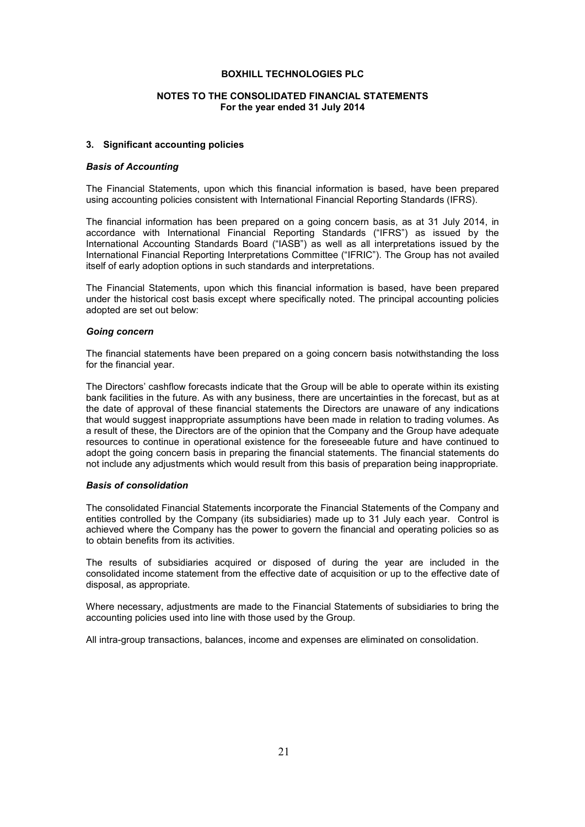## **NOTES TO THE CONSOLIDATED FINANCIAL STATEMENTS For the year ended 31 July 2014**

# **3. Significant accounting policies**

# *Basis of Accounting*

The Financial Statements, upon which this financial information is based, have been prepared using accounting policies consistent with International Financial Reporting Standards (IFRS).

The financial information has been prepared on a going concern basis, as at 31 July 2014, in accordance with International Financial Reporting Standards ("IFRS") as issued by the International Accounting Standards Board ("IASB") as well as all interpretations issued by the International Financial Reporting Interpretations Committee ("IFRIC"). The Group has not availed itself of early adoption options in such standards and interpretations.

The Financial Statements, upon which this financial information is based, have been prepared under the historical cost basis except where specifically noted. The principal accounting policies adopted are set out below:

### *Going concern*

The financial statements have been prepared on a going concern basis notwithstanding the loss for the financial year.

The Directors' cashflow forecasts indicate that the Group will be able to operate within its existing bank facilities in the future. As with any business, there are uncertainties in the forecast, but as at the date of approval of these financial statements the Directors are unaware of any indications that would suggest inappropriate assumptions have been made in relation to trading volumes. As a result of these, the Directors are of the opinion that the Company and the Group have adequate resources to continue in operational existence for the foreseeable future and have continued to adopt the going concern basis in preparing the financial statements. The financial statements do not include any adjustments which would result from this basis of preparation being inappropriate.

#### *Basis of consolidation*

The consolidated Financial Statements incorporate the Financial Statements of the Company and entities controlled by the Company (its subsidiaries) made up to 31 July each year. Control is achieved where the Company has the power to govern the financial and operating policies so as to obtain benefits from its activities.

The results of subsidiaries acquired or disposed of during the year are included in the consolidated income statement from the effective date of acquisition or up to the effective date of disposal, as appropriate.

Where necessary, adjustments are made to the Financial Statements of subsidiaries to bring the accounting policies used into line with those used by the Group.

All intra-group transactions, balances, income and expenses are eliminated on consolidation.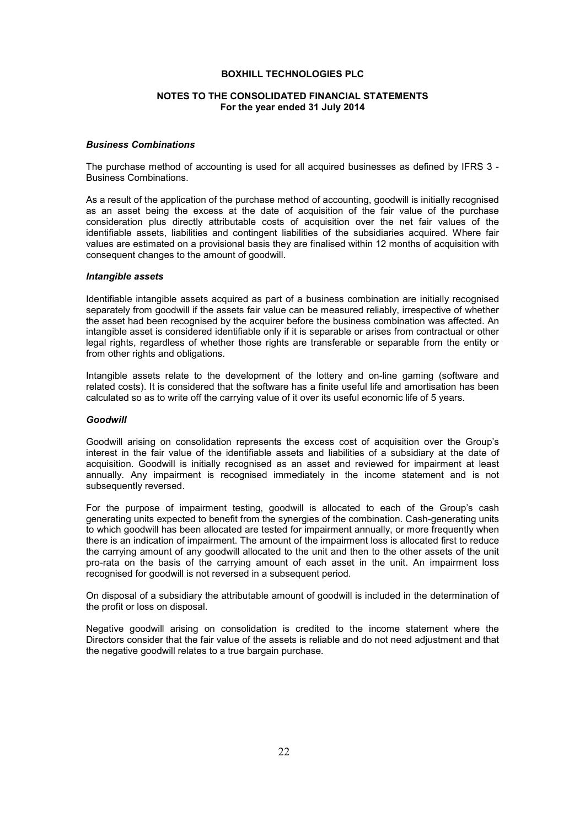### **NOTES TO THE CONSOLIDATED FINANCIAL STATEMENTS For the year ended 31 July 2014**

# *Business Combinations*

The purchase method of accounting is used for all acquired businesses as defined by IFRS 3 - Business Combinations.

As a result of the application of the purchase method of accounting, goodwill is initially recognised as an asset being the excess at the date of acquisition of the fair value of the purchase consideration plus directly attributable costs of acquisition over the net fair values of the identifiable assets, liabilities and contingent liabilities of the subsidiaries acquired. Where fair values are estimated on a provisional basis they are finalised within 12 months of acquisition with consequent changes to the amount of goodwill.

#### *Intangible assets*

Identifiable intangible assets acquired as part of a business combination are initially recognised separately from goodwill if the assets fair value can be measured reliably, irrespective of whether the asset had been recognised by the acquirer before the business combination was affected. An intangible asset is considered identifiable only if it is separable or arises from contractual or other legal rights, regardless of whether those rights are transferable or separable from the entity or from other rights and obligations.

Intangible assets relate to the development of the lottery and on-line gaming (software and related costs). It is considered that the software has a finite useful life and amortisation has been calculated so as to write off the carrying value of it over its useful economic life of 5 years.

#### *Goodwill*

Goodwill arising on consolidation represents the excess cost of acquisition over the Group's interest in the fair value of the identifiable assets and liabilities of a subsidiary at the date of acquisition. Goodwill is initially recognised as an asset and reviewed for impairment at least annually. Any impairment is recognised immediately in the income statement and is not subsequently reversed.

For the purpose of impairment testing, goodwill is allocated to each of the Group's cash generating units expected to benefit from the synergies of the combination. Cash-generating units to which goodwill has been allocated are tested for impairment annually, or more frequently when there is an indication of impairment. The amount of the impairment loss is allocated first to reduce the carrying amount of any goodwill allocated to the unit and then to the other assets of the unit pro-rata on the basis of the carrying amount of each asset in the unit. An impairment loss recognised for goodwill is not reversed in a subsequent period.

On disposal of a subsidiary the attributable amount of goodwill is included in the determination of the profit or loss on disposal.

Negative goodwill arising on consolidation is credited to the income statement where the Directors consider that the fair value of the assets is reliable and do not need adjustment and that the negative goodwill relates to a true bargain purchase.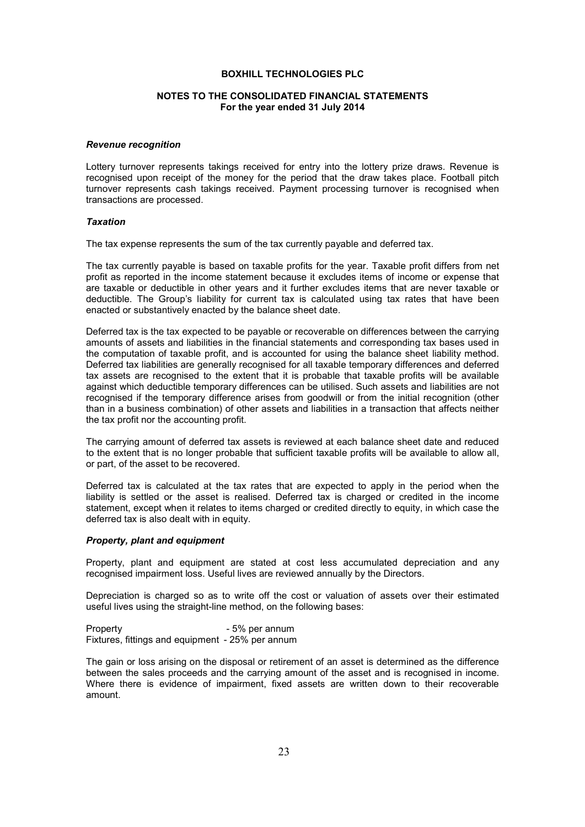### **NOTES TO THE CONSOLIDATED FINANCIAL STATEMENTS For the year ended 31 July 2014**

#### *Revenue recognition*

Lottery turnover represents takings received for entry into the lottery prize draws. Revenue is recognised upon receipt of the money for the period that the draw takes place. Football pitch turnover represents cash takings received. Payment processing turnover is recognised when transactions are processed.

### *Taxation*

The tax expense represents the sum of the tax currently payable and deferred tax.

The tax currently payable is based on taxable profits for the year. Taxable profit differs from net profit as reported in the income statement because it excludes items of income or expense that are taxable or deductible in other years and it further excludes items that are never taxable or deductible. The Group's liability for current tax is calculated using tax rates that have been enacted or substantively enacted by the balance sheet date.

Deferred tax is the tax expected to be payable or recoverable on differences between the carrying amounts of assets and liabilities in the financial statements and corresponding tax bases used in the computation of taxable profit, and is accounted for using the balance sheet liability method. Deferred tax liabilities are generally recognised for all taxable temporary differences and deferred tax assets are recognised to the extent that it is probable that taxable profits will be available against which deductible temporary differences can be utilised. Such assets and liabilities are not recognised if the temporary difference arises from goodwill or from the initial recognition (other than in a business combination) of other assets and liabilities in a transaction that affects neither the tax profit nor the accounting profit.

The carrying amount of deferred tax assets is reviewed at each balance sheet date and reduced to the extent that is no longer probable that sufficient taxable profits will be available to allow all, or part, of the asset to be recovered.

Deferred tax is calculated at the tax rates that are expected to apply in the period when the liability is settled or the asset is realised. Deferred tax is charged or credited in the income statement, except when it relates to items charged or credited directly to equity, in which case the deferred tax is also dealt with in equity.

#### *Property, plant and equipment*

Property, plant and equipment are stated at cost less accumulated depreciation and any recognised impairment loss. Useful lives are reviewed annually by the Directors.

Depreciation is charged so as to write off the cost or valuation of assets over their estimated useful lives using the straight-line method, on the following bases:

Property **- 5% per annum** Fixtures, fittings and equipment - 25% per annum

The gain or loss arising on the disposal or retirement of an asset is determined as the difference between the sales proceeds and the carrying amount of the asset and is recognised in income. Where there is evidence of impairment, fixed assets are written down to their recoverable amount.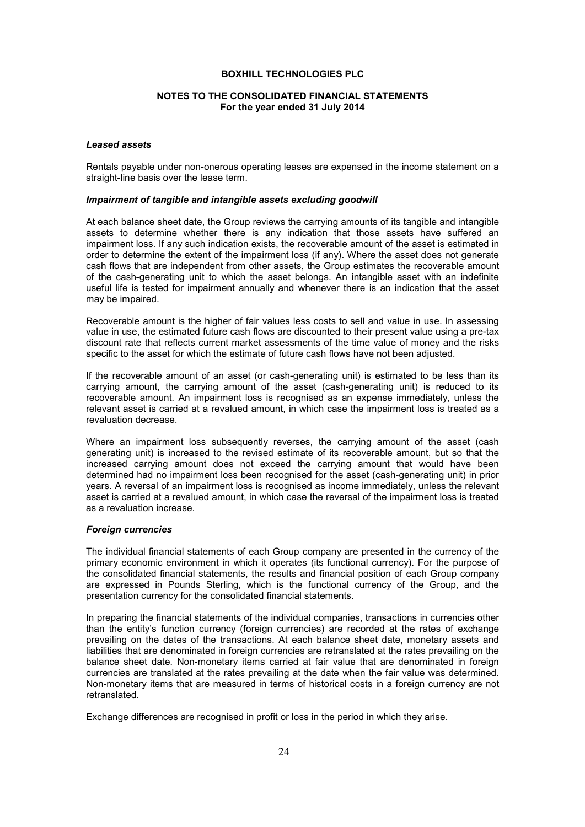## **NOTES TO THE CONSOLIDATED FINANCIAL STATEMENTS For the year ended 31 July 2014**

# *Leased assets*

Rentals payable under non-onerous operating leases are expensed in the income statement on a straight-line basis over the lease term.

#### *Impairment of tangible and intangible assets excluding goodwill*

At each balance sheet date, the Group reviews the carrying amounts of its tangible and intangible assets to determine whether there is any indication that those assets have suffered an impairment loss. If any such indication exists, the recoverable amount of the asset is estimated in order to determine the extent of the impairment loss (if any). Where the asset does not generate cash flows that are independent from other assets, the Group estimates the recoverable amount of the cash-generating unit to which the asset belongs. An intangible asset with an indefinite useful life is tested for impairment annually and whenever there is an indication that the asset may be impaired.

Recoverable amount is the higher of fair values less costs to sell and value in use. In assessing value in use, the estimated future cash flows are discounted to their present value using a pre-tax discount rate that reflects current market assessments of the time value of money and the risks specific to the asset for which the estimate of future cash flows have not been adjusted.

If the recoverable amount of an asset (or cash-generating unit) is estimated to be less than its carrying amount, the carrying amount of the asset (cash-generating unit) is reduced to its recoverable amount. An impairment loss is recognised as an expense immediately, unless the relevant asset is carried at a revalued amount, in which case the impairment loss is treated as a revaluation decrease.

Where an impairment loss subsequently reverses, the carrying amount of the asset (cash generating unit) is increased to the revised estimate of its recoverable amount, but so that the increased carrying amount does not exceed the carrying amount that would have been determined had no impairment loss been recognised for the asset (cash-generating unit) in prior years. A reversal of an impairment loss is recognised as income immediately, unless the relevant asset is carried at a revalued amount, in which case the reversal of the impairment loss is treated as a revaluation increase.

#### *Foreign currencies*

The individual financial statements of each Group company are presented in the currency of the primary economic environment in which it operates (its functional currency). For the purpose of the consolidated financial statements, the results and financial position of each Group company are expressed in Pounds Sterling, which is the functional currency of the Group, and the presentation currency for the consolidated financial statements.

In preparing the financial statements of the individual companies, transactions in currencies other than the entity's function currency (foreign currencies) are recorded at the rates of exchange prevailing on the dates of the transactions. At each balance sheet date, monetary assets and liabilities that are denominated in foreign currencies are retranslated at the rates prevailing on the balance sheet date. Non-monetary items carried at fair value that are denominated in foreign currencies are translated at the rates prevailing at the date when the fair value was determined. Non-monetary items that are measured in terms of historical costs in a foreign currency are not retranslated.

Exchange differences are recognised in profit or loss in the period in which they arise.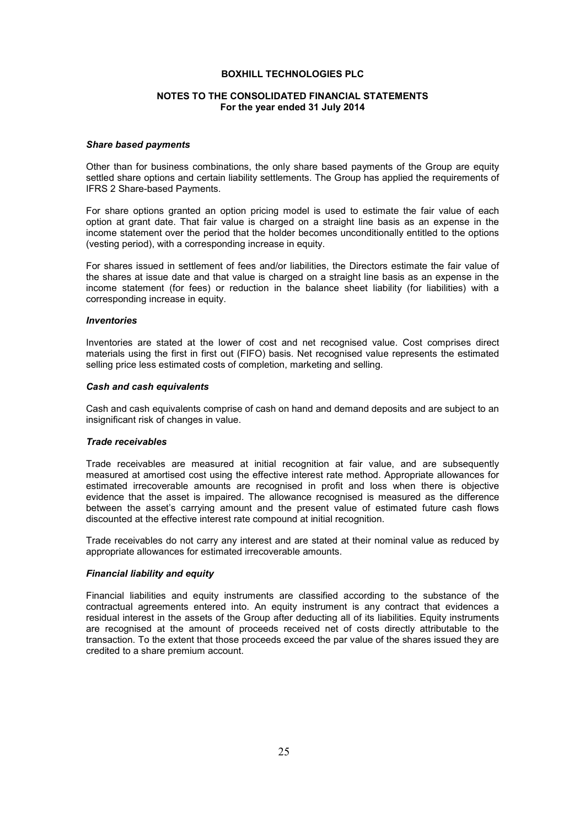### **NOTES TO THE CONSOLIDATED FINANCIAL STATEMENTS For the year ended 31 July 2014**

#### *Share based payments*

Other than for business combinations, the only share based payments of the Group are equity settled share options and certain liability settlements. The Group has applied the requirements of IFRS 2 Share-based Payments.

For share options granted an option pricing model is used to estimate the fair value of each option at grant date. That fair value is charged on a straight line basis as an expense in the income statement over the period that the holder becomes unconditionally entitled to the options (vesting period), with a corresponding increase in equity.

For shares issued in settlement of fees and/or liabilities, the Directors estimate the fair value of the shares at issue date and that value is charged on a straight line basis as an expense in the income statement (for fees) or reduction in the balance sheet liability (for liabilities) with a corresponding increase in equity.

### *Inventories*

Inventories are stated at the lower of cost and net recognised value. Cost comprises direct materials using the first in first out (FIFO) basis. Net recognised value represents the estimated selling price less estimated costs of completion, marketing and selling.

#### *Cash and cash equivalents*

Cash and cash equivalents comprise of cash on hand and demand deposits and are subject to an insignificant risk of changes in value.

#### *Trade receivables*

Trade receivables are measured at initial recognition at fair value, and are subsequently measured at amortised cost using the effective interest rate method. Appropriate allowances for estimated irrecoverable amounts are recognised in profit and loss when there is objective evidence that the asset is impaired. The allowance recognised is measured as the difference between the asset's carrying amount and the present value of estimated future cash flows discounted at the effective interest rate compound at initial recognition.

Trade receivables do not carry any interest and are stated at their nominal value as reduced by appropriate allowances for estimated irrecoverable amounts.

### *Financial liability and equity*

Financial liabilities and equity instruments are classified according to the substance of the contractual agreements entered into. An equity instrument is any contract that evidences a residual interest in the assets of the Group after deducting all of its liabilities. Equity instruments are recognised at the amount of proceeds received net of costs directly attributable to the transaction. To the extent that those proceeds exceed the par value of the shares issued they are credited to a share premium account.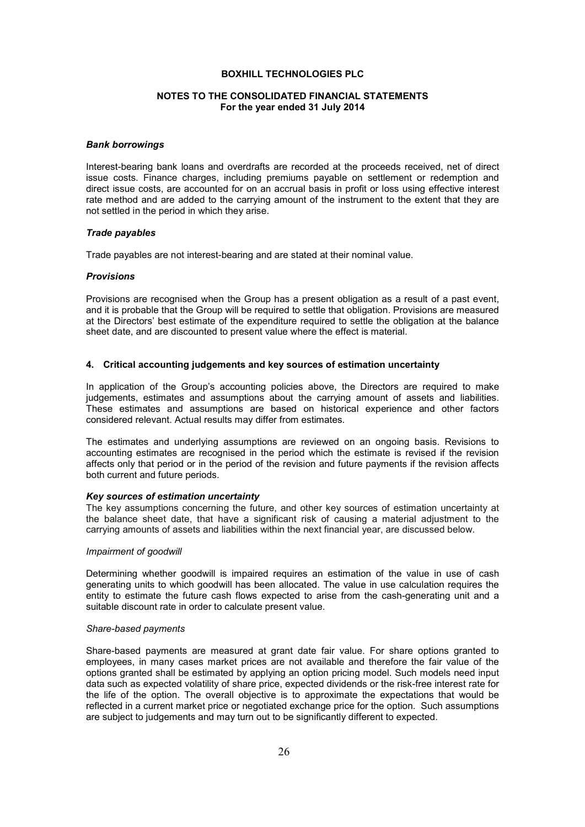## **NOTES TO THE CONSOLIDATED FINANCIAL STATEMENTS For the year ended 31 July 2014**

#### *Bank borrowings*

Interest-bearing bank loans and overdrafts are recorded at the proceeds received, net of direct issue costs. Finance charges, including premiums payable on settlement or redemption and direct issue costs, are accounted for on an accrual basis in profit or loss using effective interest rate method and are added to the carrying amount of the instrument to the extent that they are not settled in the period in which they arise.

#### *Trade payables*

Trade payables are not interest-bearing and are stated at their nominal value.

#### *Provisions*

Provisions are recognised when the Group has a present obligation as a result of a past event, and it is probable that the Group will be required to settle that obligation. Provisions are measured at the Directors' best estimate of the expenditure required to settle the obligation at the balance sheet date, and are discounted to present value where the effect is material.

#### **4. Critical accounting judgements and key sources of estimation uncertainty**

In application of the Group's accounting policies above, the Directors are required to make judgements, estimates and assumptions about the carrying amount of assets and liabilities. These estimates and assumptions are based on historical experience and other factors considered relevant. Actual results may differ from estimates.

The estimates and underlying assumptions are reviewed on an ongoing basis. Revisions to accounting estimates are recognised in the period which the estimate is revised if the revision affects only that period or in the period of the revision and future payments if the revision affects both current and future periods.

#### *Key sources of estimation uncertainty*

The key assumptions concerning the future, and other key sources of estimation uncertainty at the balance sheet date, that have a significant risk of causing a material adjustment to the carrying amounts of assets and liabilities within the next financial year, are discussed below.

#### *Impairment of goodwill*

Determining whether goodwill is impaired requires an estimation of the value in use of cash generating units to which goodwill has been allocated. The value in use calculation requires the entity to estimate the future cash flows expected to arise from the cash-generating unit and a suitable discount rate in order to calculate present value.

#### *Share-based payments*

Share-based payments are measured at grant date fair value. For share options granted to employees, in many cases market prices are not available and therefore the fair value of the options granted shall be estimated by applying an option pricing model. Such models need input data such as expected volatility of share price, expected dividends or the risk-free interest rate for the life of the option. The overall objective is to approximate the expectations that would be reflected in a current market price or negotiated exchange price for the option. Such assumptions are subject to judgements and may turn out to be significantly different to expected.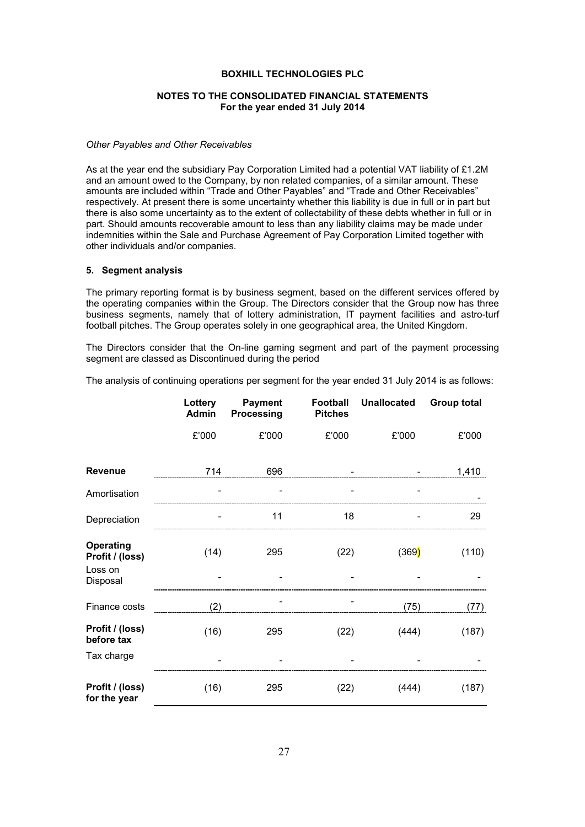## **NOTES TO THE CONSOLIDATED FINANCIAL STATEMENTS For the year ended 31 July 2014**

#### *Other Payables and Other Receivables*

As at the year end the subsidiary Pay Corporation Limited had a potential VAT liability of £1.2M and an amount owed to the Company, by non related companies, of a similar amount. These amounts are included within "Trade and Other Payables" and "Trade and Other Receivables" respectively. At present there is some uncertainty whether this liability is due in full or in part but there is also some uncertainty as to the extent of collectability of these debts whether in full or in part. Should amounts recoverable amount to less than any liability claims may be made under indemnities within the Sale and Purchase Agreement of Pay Corporation Limited together with other individuals and/or companies*.*

#### **5. Segment analysis**

The primary reporting format is by business segment, based on the different services offered by the operating companies within the Group. The Directors consider that the Group now has three business segments, namely that of lottery administration, IT payment facilities and astro-turf football pitches. The Group operates solely in one geographical area, the United Kingdom.

The Directors consider that the On-line gaming segment and part of the payment processing segment are classed as Discontinued during the period

The analysis of continuing operations per segment for the year ended 31 July 2014 is as follows:

|                                                            | Lottery<br><b>Admin</b> | <b>Payment</b><br><b>Processing</b> | <b>Football</b><br><b>Pitches</b> | <b>Unallocated</b> | <b>Group total</b> |
|------------------------------------------------------------|-------------------------|-------------------------------------|-----------------------------------|--------------------|--------------------|
|                                                            | £'000                   | £'000                               | £'000                             | £'000              | £'000              |
| <b>Revenue</b>                                             | 714                     | 696                                 |                                   |                    | 1,410              |
| Amortisation                                               |                         |                                     |                                   |                    |                    |
| Depreciation                                               |                         | 11                                  | 18                                |                    | 29                 |
| <b>Operating</b><br>Profit / (loss)<br>Loss on<br>Disposal | (14)                    | 295                                 | (22)                              | (369)              | (110)              |
| Finance costs                                              | (2)                     |                                     |                                   | (75)               | (77)               |
| Profit / (loss)<br>before tax                              | (16)                    | 295                                 | (22)                              | (444)              | (187)              |
| Tax charge                                                 |                         |                                     |                                   |                    |                    |
| Profit / (loss)<br>for the year                            | (16)                    | 295                                 | (22)                              | (444)              | (187)              |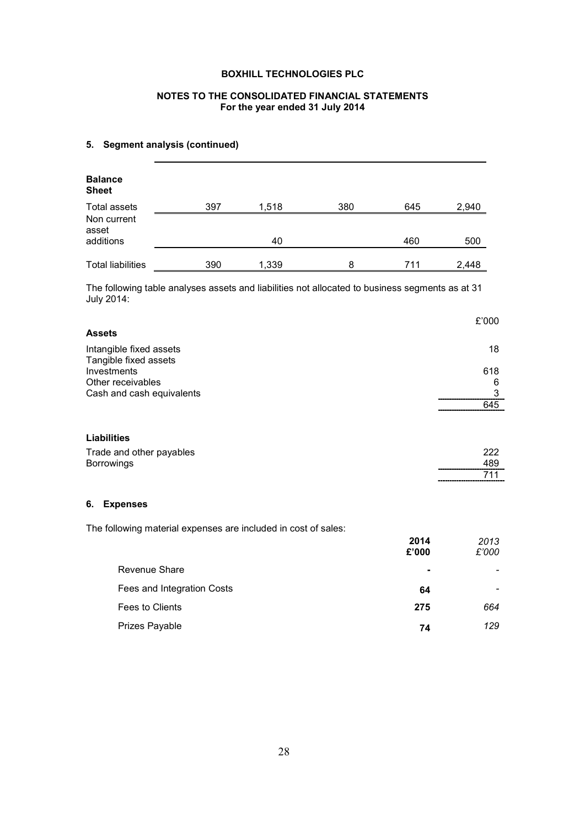# **NOTES TO THE CONSOLIDATED FINANCIAL STATEMENTS For the year ended 31 July 2014**

# **5. Segment analysis (continued)**

| <b>Balance</b><br><b>Sheet</b> |     |       |     |     |       |
|--------------------------------|-----|-------|-----|-----|-------|
| <b>Total assets</b>            | 397 | 1,518 | 380 | 645 | 2,940 |
| Non current<br>asset           |     |       |     |     |       |
| additions                      |     | 40    |     | 460 | 500   |
| <b>Total liabilities</b>       | 390 | 1,339 | 8   | 711 | 2,448 |

The following table analyses assets and liabilities not allocated to business segments as at 31 July 2014:

|                                                  | £'000 |
|--------------------------------------------------|-------|
| <b>Assets</b>                                    |       |
| Intangible fixed assets<br>Tangible fixed assets | 18    |
| Investments                                      | 618   |
| Other receivables                                | 6     |
| Cash and cash equivalents                        | 3     |
|                                                  | 645   |
|                                                  |       |
| <b>Liabilities</b>                               |       |
| Trade and other payables                         | 222   |
| Borrowings                                       | 489   |
|                                                  | 711   |
|                                                  |       |
|                                                  |       |

# **6. Expenses**

The following material expenses are included in cost of sales:

|                            | 2014<br>£'000  | 2013<br>£'000 |
|----------------------------|----------------|---------------|
| Revenue Share              | $\blacksquare$ |               |
| Fees and Integration Costs | 64             |               |
| Fees to Clients            | 275            | 664           |
| Prizes Payable             | 74             | 129           |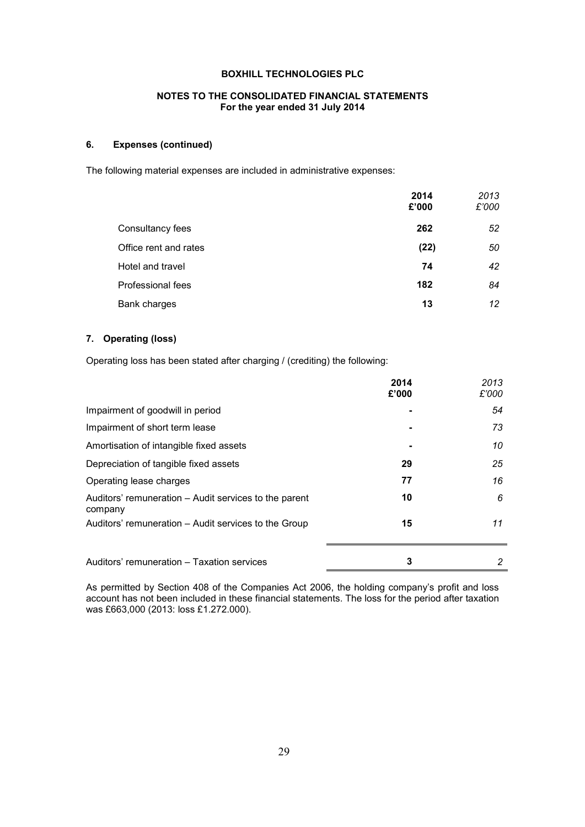# **NOTES TO THE CONSOLIDATED FINANCIAL STATEMENTS For the year ended 31 July 2014**

# **6. Expenses (continued)**

The following material expenses are included in administrative expenses:

|                       | 2014<br>£'000 | 2013<br>£'000 |
|-----------------------|---------------|---------------|
| Consultancy fees      | 262           | 52            |
| Office rent and rates | (22)          | 50            |
| Hotel and travel      | 74            | 42            |
| Professional fees     | 182           | 84            |
| Bank charges          | 13            | 12            |

# **7. Operating (loss)**

Operating loss has been stated after charging / (crediting) the following:

|                                                                  | 2014<br>£'000 | 2013<br>£'000 |
|------------------------------------------------------------------|---------------|---------------|
| Impairment of goodwill in period                                 |               | 54            |
| Impairment of short term lease                                   |               | 73            |
| Amortisation of intangible fixed assets                          |               | 10            |
| Depreciation of tangible fixed assets                            | 29            | 25            |
| Operating lease charges                                          | 77            | 16            |
| Auditors' remuneration – Audit services to the parent<br>company | 10            | 6             |
| Auditors' remuneration – Audit services to the Group             | 15            | 11            |
| Auditors' remuneration – Taxation services                       | 3             | 2             |

As permitted by Section 408 of the Companies Act 2006, the holding company's profit and loss account has not been included in these financial statements. The loss for the period after taxation was £663,000 (2013: loss £1.272.000).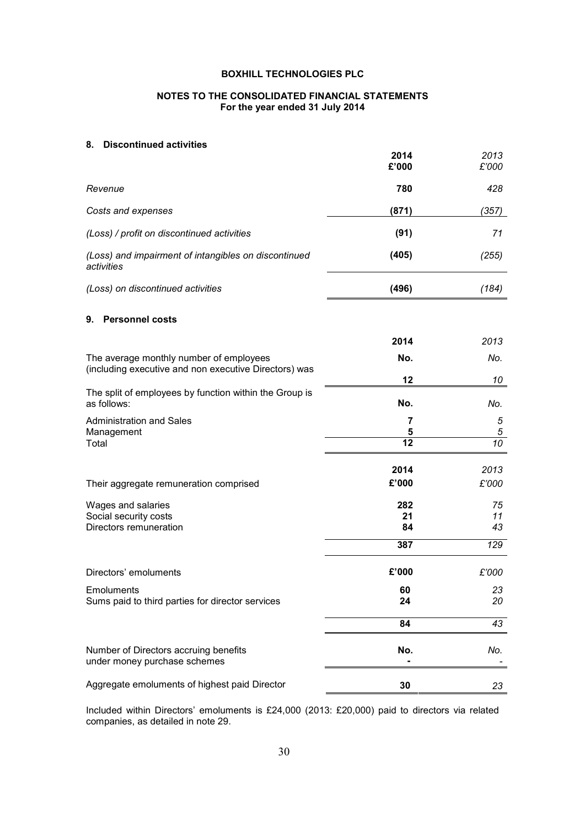# **NOTES TO THE CONSOLIDATED FINANCIAL STATEMENTS For the year ended 31 July 2014**

## **8. Discontinued activities**

|                                                                                                  | 2014<br>£'000 | 2013<br>£'000 |
|--------------------------------------------------------------------------------------------------|---------------|---------------|
| Revenue                                                                                          | 780           | 428           |
| Costs and expenses                                                                               | (871)         | (357)         |
| (Loss) / profit on discontinued activities                                                       | (91)          | 71            |
| (Loss) and impairment of intangibles on discontinued<br>activities                               | (405)         | (255)         |
| (Loss) on discontinued activities                                                                | (496)         | (184)         |
| <b>Personnel costs</b><br>9.                                                                     |               |               |
|                                                                                                  | 2014          | 2013          |
| The average monthly number of employees<br>(including executive and non executive Directors) was | No.           | No.           |
|                                                                                                  | 12            | 10            |
| The split of employees by function within the Group is<br>as follows:                            | No.           | No.           |
| <b>Administration and Sales</b><br>Management                                                    | 7<br>5        | 5<br>5        |
| Total                                                                                            | 12            | 10            |
|                                                                                                  |               |               |
|                                                                                                  | 2014          | 2013          |
| Their aggregate remuneration comprised                                                           | £'000         | £'000         |
| Wages and salaries                                                                               | 282           | 75            |
| Social security costs                                                                            | 21            | 11            |
| Directors remuneration                                                                           | 84            | 43            |
|                                                                                                  | 387           | 129           |
| Directors' emoluments                                                                            | £'000         | £'000         |
| Emoluments                                                                                       | 60            | 23            |
| Sums paid to third parties for director services                                                 | 24            | 20            |
|                                                                                                  | 84            | 43            |
| Number of Directors accruing benefits<br>under money purchase schemes                            | No.           | No.           |
| Aggregate emoluments of highest paid Director                                                    | 30            | 23            |

Included within Directors' emoluments is £24,000 (2013: £20,000) paid to directors via related companies, as detailed in note 29.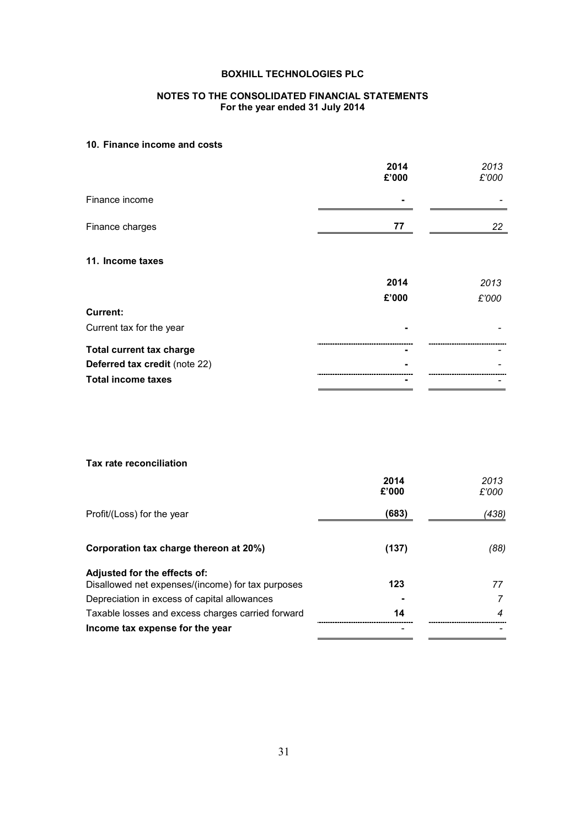# **NOTES TO THE CONSOLIDATED FINANCIAL STATEMENTS For the year ended 31 July 2014**

## **10. Finance income and costs**

|                                 | 2014<br>£'000 | 2013<br>£'000 |
|---------------------------------|---------------|---------------|
| Finance income                  |               |               |
| Finance charges                 | 77            | 22            |
| 11. Income taxes                |               |               |
|                                 | 2014          | 2013          |
|                                 | £'000         | £'000         |
| <b>Current:</b>                 |               |               |
| Current tax for the year        |               |               |
| <b>Total current tax charge</b> |               |               |
| Deferred tax credit (note 22)   |               |               |
| <b>Total income taxes</b>       |               |               |

## **Tax rate reconciliation**

|                                                                                   | 2014<br>£'000 | 2013<br>£'000 |
|-----------------------------------------------------------------------------------|---------------|---------------|
| Profit/(Loss) for the year                                                        | (683)         | (438)         |
| Corporation tax charge thereon at 20%)                                            | (137)         | (88)          |
| Adjusted for the effects of:<br>Disallowed net expenses/(income) for tax purposes | 123           | 77.           |
| Depreciation in excess of capital allowances                                      |               |               |
| Taxable losses and excess charges carried forward                                 | 14            | 4             |
| Income tax expense for the year                                                   |               |               |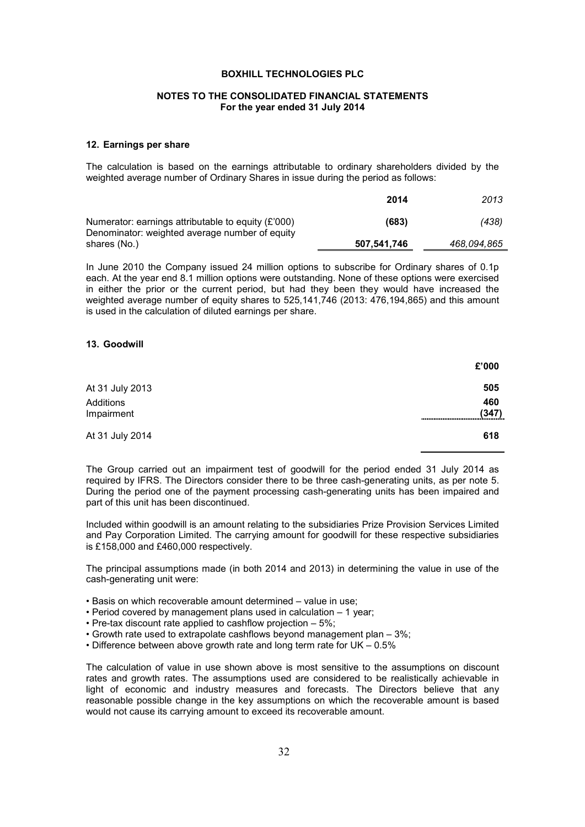## **NOTES TO THE CONSOLIDATED FINANCIAL STATEMENTS For the year ended 31 July 2014**

#### **12. Earnings per share**

The calculation is based on the earnings attributable to ordinary shareholders divided by the weighted average number of Ordinary Shares in issue during the period as follows:

|                                                                                                        | 2014        | 2013        |
|--------------------------------------------------------------------------------------------------------|-------------|-------------|
| Numerator: earnings attributable to equity $(E'000)$<br>Denominator: weighted average number of equity | (683)       | (438)       |
| shares (No.)                                                                                           | 507,541,746 | 468.094.865 |

In June 2010 the Company issued 24 million options to subscribe for Ordinary shares of 0.1p each. At the year end 8.1 million options were outstanding. None of these options were exercised in either the prior or the current period, but had they been they would have increased the weighted average number of equity shares to 525,141,746 (2013: 476,194,865) and this amount is used in the calculation of diluted earnings per share.

#### **13. Goodwill**

|                         | £'000        |
|-------------------------|--------------|
| At 31 July 2013         | 505          |
| Additions<br>Impairment | 460<br>(347) |
| At 31 July 2014         | 618          |

The Group carried out an impairment test of goodwill for the period ended 31 July 2014 as required by IFRS. The Directors consider there to be three cash-generating units, as per note 5. During the period one of the payment processing cash-generating units has been impaired and part of this unit has been discontinued.

Included within goodwill is an amount relating to the subsidiaries Prize Provision Services Limited and Pay Corporation Limited. The carrying amount for goodwill for these respective subsidiaries is £158,000 and £460,000 respectively.

The principal assumptions made (in both 2014 and 2013) in determining the value in use of the cash-generating unit were:

- Basis on which recoverable amount determined value in use;
- Period covered by management plans used in calculation 1 year;
- Pre-tax discount rate applied to cashflow projection 5%;
- Growth rate used to extrapolate cashflows beyond management plan 3%;
- Difference between above growth rate and long term rate for UK 0.5%

The calculation of value in use shown above is most sensitive to the assumptions on discount rates and growth rates. The assumptions used are considered to be realistically achievable in light of economic and industry measures and forecasts. The Directors believe that any reasonable possible change in the key assumptions on which the recoverable amount is based would not cause its carrying amount to exceed its recoverable amount.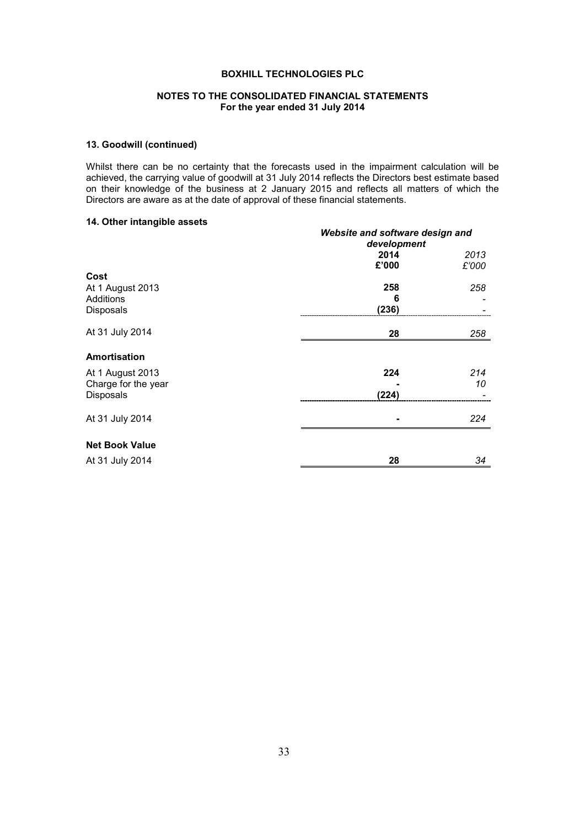# **NOTES TO THE CONSOLIDATED FINANCIAL STATEMENTS For the year ended 31 July 2014**

# **13. Goodwill (continued)**

Whilst there can be no certainty that the forecasts used in the impairment calculation will be achieved, the carrying value of goodwill at 31 July 2014 reflects the Directors best estimate based on their knowledge of the business at 2 January 2015 and reflects all matters of which the Directors are aware as at the date of approval of these financial statements.

# **14. Other intangible assets**

|                       | Website and software design and<br>development |               |
|-----------------------|------------------------------------------------|---------------|
|                       | 2014<br>£'000                                  | 2013<br>£'000 |
| Cost                  |                                                |               |
| At 1 August 2013      | 258                                            | 258           |
| Additions             | 6                                              |               |
| Disposals             | (236)                                          |               |
| At 31 July 2014       | 28                                             | 258           |
| Amortisation          |                                                |               |
| At 1 August 2013      | 224                                            | 214           |
| Charge for the year   |                                                | 10            |
| Disposals             | (224)                                          |               |
| At 31 July 2014       |                                                | 224           |
| <b>Net Book Value</b> |                                                |               |
| At 31 July 2014       | 28                                             | 34            |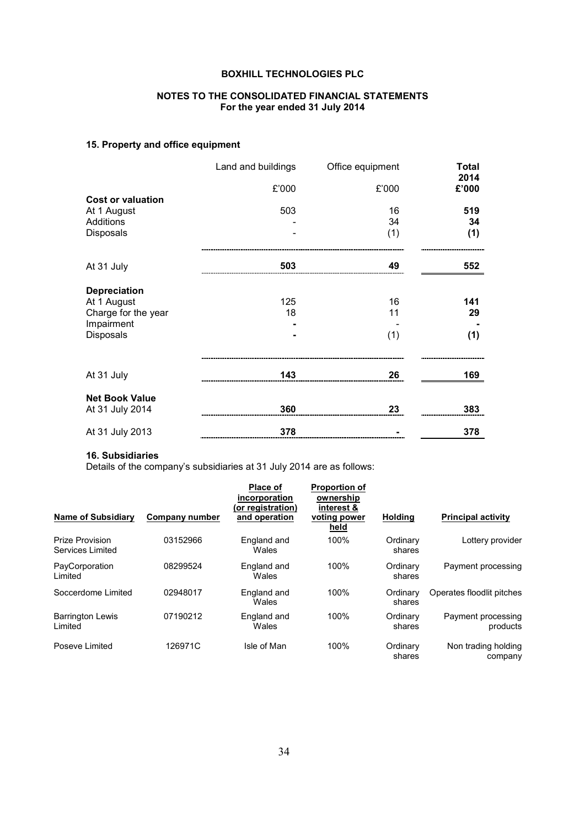# **NOTES TO THE CONSOLIDATED FINANCIAL STATEMENTS For the year ended 31 July 2014**

# **15. Property and office equipment**

|                                                                                      | Land and buildings | Office equipment | <b>Total</b>     |
|--------------------------------------------------------------------------------------|--------------------|------------------|------------------|
|                                                                                      | £'000              | £'000            | 2014<br>£'000    |
| <b>Cost or valuation</b><br>At 1 August<br>Additions<br>Disposals                    | 503                | 16<br>34<br>(1)  | 519<br>34<br>(1) |
| At 31 July                                                                           | 503                | 49               | 552              |
| <b>Depreciation</b><br>At 1 August<br>Charge for the year<br>Impairment<br>Disposals | 125<br>18          | 16<br>11<br>(1)  | 141<br>29<br>(1) |
| At 31 July                                                                           | 143                | 26               | 169              |
| <b>Net Book Value</b><br>At 31 July 2014                                             | 360                | 23               | 383              |
| At 31 July 2013                                                                      | 378                |                  | 378              |

# **16. Subsidiaries**

Details of the company's subsidiaries at 31 July 2014 are as follows:

| <b>Name of Subsidiary</b>           | Company number | <b>Place of</b><br>incorporation<br>(or registration)<br>and operation | <b>Proportion of</b><br>ownership<br>interest &<br>voting power<br>held | <b>Holding</b>     | <b>Principal activity</b>      |
|-------------------------------------|----------------|------------------------------------------------------------------------|-------------------------------------------------------------------------|--------------------|--------------------------------|
| Prize Provision<br>Services Limited | 03152966       | England and<br>Wales                                                   | 100%                                                                    | Ordinary<br>shares | Lottery provider               |
| PayCorporation<br>Limited           | 08299524       | England and<br>Wales                                                   | 100%                                                                    | Ordinary<br>shares | Payment processing             |
| Soccerdome Limited                  | 02948017       | England and<br>Wales                                                   | 100%                                                                    | Ordinary<br>shares | Operates floodlit pitches      |
| <b>Barrington Lewis</b><br>Limited  | 07190212       | England and<br>Wales                                                   | 100%                                                                    | Ordinary<br>shares | Payment processing<br>products |
| Poseve Limited                      | 126971C        | Isle of Man                                                            | 100%                                                                    | Ordinary<br>shares | Non trading holding<br>company |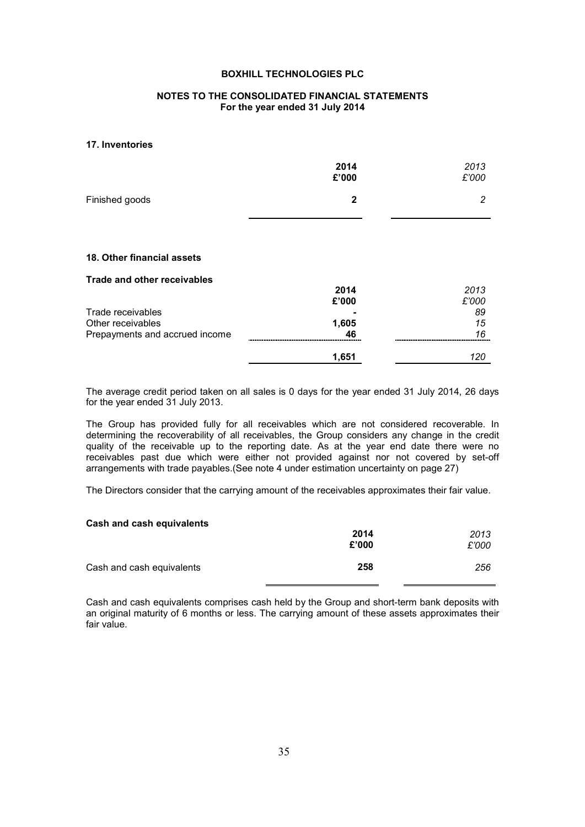# **NOTES TO THE CONSOLIDATED FINANCIAL STATEMENTS For the year ended 31 July 2014**

# **17. Inventories**

|                                    | 2014<br>£'000 | 2013<br>£'000 |
|------------------------------------|---------------|---------------|
| Finished goods                     | 2             | 2             |
|                                    |               |               |
| 18. Other financial assets         |               |               |
| <b>Trade and other receivables</b> |               |               |
|                                    | 2014          | 2013          |
|                                    | £'000         | £'000         |
| Trade receivables                  |               | 89            |
| Other receivables                  | 1,605         | 15            |
| Prepayments and accrued income     | 46            | 16            |
|                                    | 1,651         | 120           |

The average credit period taken on all sales is 0 days for the year ended 31 July 2014, 26 days for the year ended 31 July 2013.

The Group has provided fully for all receivables which are not considered recoverable. In determining the recoverability of all receivables, the Group considers any change in the credit quality of the receivable up to the reporting date. As at the year end date there were no receivables past due which were either not provided against nor not covered by set-off arrangements with trade payables.(See note 4 under estimation uncertainty on page 27)

The Directors consider that the carrying amount of the receivables approximates their fair value.

#### **Cash and cash equivalents**

|                           | 2014<br>£'000 | 2013<br>£'000 |
|---------------------------|---------------|---------------|
| Cash and cash equivalents | 258           | 256           |

Cash and cash equivalents comprises cash held by the Group and short-term bank deposits with an original maturity of 6 months or less. The carrying amount of these assets approximates their fair value.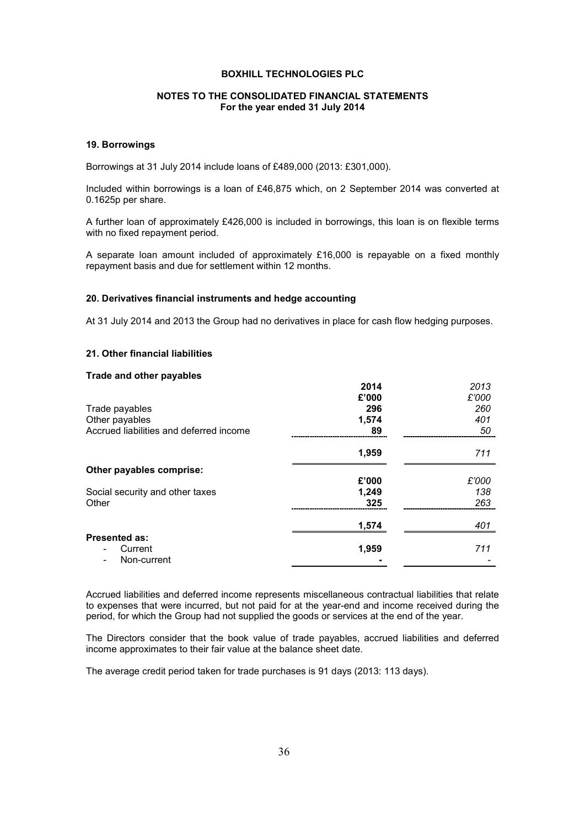## **NOTES TO THE CONSOLIDATED FINANCIAL STATEMENTS For the year ended 31 July 2014**

# **19. Borrowings**

Borrowings at 31 July 2014 include loans of £489,000 (2013: £301,000).

Included within borrowings is a loan of £46,875 which, on 2 September 2014 was converted at 0.1625p per share.

A further loan of approximately £426,000 is included in borrowings, this loan is on flexible terms with no fixed repayment period.

A separate loan amount included of approximately £16,000 is repayable on a fixed monthly repayment basis and due for settlement within 12 months.

# **20. Derivatives financial instruments and hedge accounting**

At 31 July 2014 and 2013 the Group had no derivatives in place for cash flow hedging purposes.

# **21. Other financial liabilities**

## **Trade and other payables**

| 2014  | 2013                    |
|-------|-------------------------|
| £'000 | £'000                   |
| 296   | 260                     |
|       | 401                     |
| 89    | 50                      |
| 1,959 | 711                     |
|       |                         |
| £'000 | £'000                   |
|       | 138                     |
| 325   | 263                     |
| 1,574 | 401                     |
|       |                         |
|       | 711                     |
|       |                         |
|       | 1,574<br>1,249<br>1,959 |

Accrued liabilities and deferred income represents miscellaneous contractual liabilities that relate to expenses that were incurred, but not paid for at the year-end and income received during the period, for which the Group had not supplied the goods or services at the end of the year.

The Directors consider that the book value of trade payables, accrued liabilities and deferred income approximates to their fair value at the balance sheet date.

The average credit period taken for trade purchases is 91 days (2013: 113 days).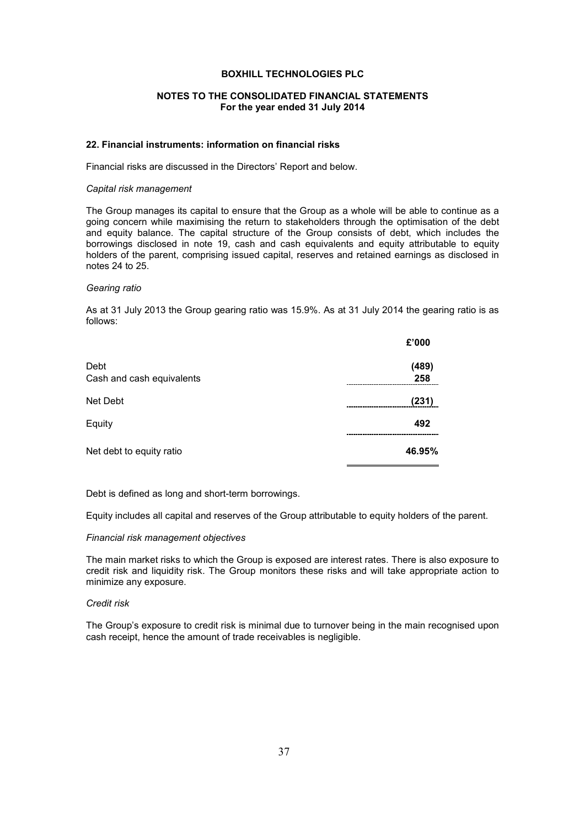## **NOTES TO THE CONSOLIDATED FINANCIAL STATEMENTS For the year ended 31 July 2014**

# **22. Financial instruments: information on financial risks**

Financial risks are discussed in the Directors' Report and below.

### *Capital risk management*

The Group manages its capital to ensure that the Group as a whole will be able to continue as a going concern while maximising the return to stakeholders through the optimisation of the debt and equity balance. The capital structure of the Group consists of debt, which includes the borrowings disclosed in note 19, cash and cash equivalents and equity attributable to equity holders of the parent, comprising issued capital, reserves and retained earnings as disclosed in notes 24 to 25.

#### *Gearing ratio*

As at 31 July 2013 the Group gearing ratio was 15.9%. As at 31 July 2014 the gearing ratio is as follows:

|                                   | £'000        |
|-----------------------------------|--------------|
| Debt<br>Cash and cash equivalents | (489)<br>258 |
| Net Debt                          | (231)        |
| Equity                            | 492          |
| Net debt to equity ratio          | 46.95%       |

Debt is defined as long and short-term borrowings.

Equity includes all capital and reserves of the Group attributable to equity holders of the parent.

#### *Financial risk management objectives*

The main market risks to which the Group is exposed are interest rates. There is also exposure to credit risk and liquidity risk. The Group monitors these risks and will take appropriate action to minimize any exposure.

#### *Credit risk*

The Group's exposure to credit risk is minimal due to turnover being in the main recognised upon cash receipt, hence the amount of trade receivables is negligible.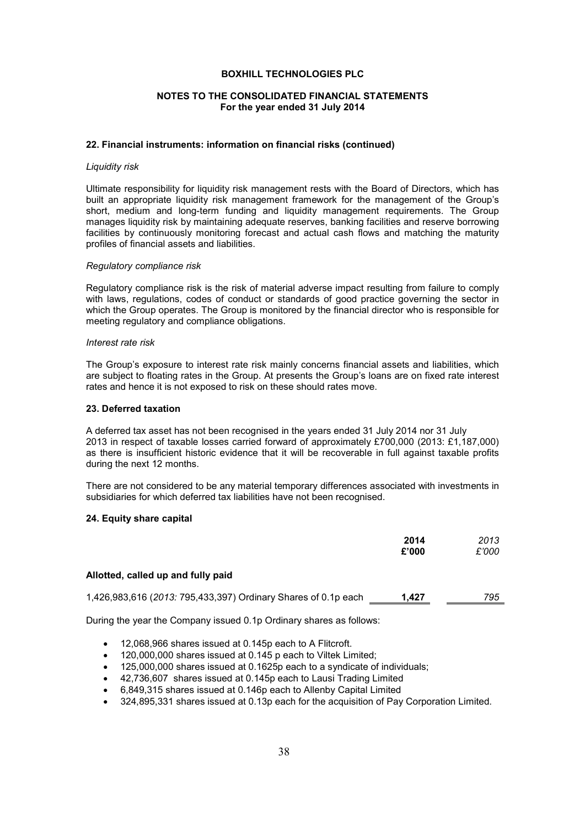## **NOTES TO THE CONSOLIDATED FINANCIAL STATEMENTS For the year ended 31 July 2014**

# **22. Financial instruments: information on financial risks (continued)**

## *Liquidity risk*

Ultimate responsibility for liquidity risk management rests with the Board of Directors, which has built an appropriate liquidity risk management framework for the management of the Group's short, medium and long-term funding and liquidity management requirements. The Group manages liquidity risk by maintaining adequate reserves, banking facilities and reserve borrowing facilities by continuously monitoring forecast and actual cash flows and matching the maturity profiles of financial assets and liabilities.

#### *Regulatory compliance risk*

Regulatory compliance risk is the risk of material adverse impact resulting from failure to comply with laws, regulations, codes of conduct or standards of good practice governing the sector in which the Group operates. The Group is monitored by the financial director who is responsible for meeting regulatory and compliance obligations.

#### *Interest rate risk*

The Group's exposure to interest rate risk mainly concerns financial assets and liabilities, which are subject to floating rates in the Group. At presents the Group's loans are on fixed rate interest rates and hence it is not exposed to risk on these should rates move.

#### **23. Deferred taxation**

A deferred tax asset has not been recognised in the years ended 31 July 2014 nor 31 July 2013 in respect of taxable losses carried forward of approximately £700,000 (2013: £1,187,000) as there is insufficient historic evidence that it will be recoverable in full against taxable profits during the next 12 months.

There are not considered to be any material temporary differences associated with investments in subsidiaries for which deferred tax liabilities have not been recognised.

# **24. Equity share capital**

| 2014  | 2013  |
|-------|-------|
| £'000 | £'000 |
|       |       |

### **Allotted, called up and fully paid**

| 1,426,983,616 (2013: 795,433,397) Ordinary Shares of 0.1p each | 1.427 | 795 |
|----------------------------------------------------------------|-------|-----|
|                                                                |       |     |

During the year the Company issued 0.1p Ordinary shares as follows:

- 12,068,966 shares issued at 0.145p each to A Flitcroft.
- 120,000,000 shares issued at 0.145 p each to Viltek Limited;
- 125,000,000 shares issued at 0.1625p each to a syndicate of individuals;
- 42,736,607 shares issued at 0.145p each to Lausi Trading Limited
- 6,849,315 shares issued at 0.146p each to Allenby Capital Limited
- 324,895,331 shares issued at 0.13p each for the acquisition of Pay Corporation Limited.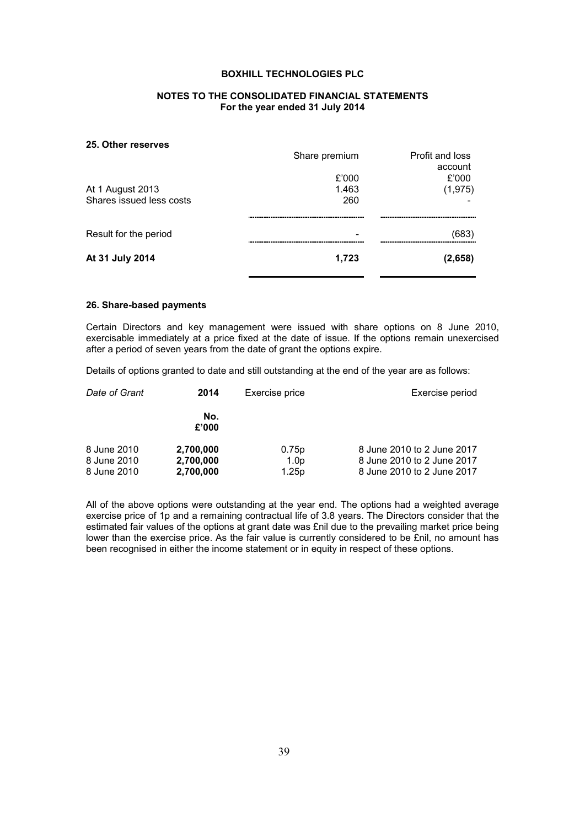# **NOTES TO THE CONSOLIDATED FINANCIAL STATEMENTS For the year ended 31 July 2014**

# **25. Other reserves**

|                          | Share premium | Profit and loss<br>account |
|--------------------------|---------------|----------------------------|
|                          | £'000         | £'000                      |
| At 1 August 2013         | 1.463         | (1, 975)                   |
| Shares issued less costs | 260           |                            |
|                          |               |                            |
| Result for the period    |               | (683)                      |
| At 31 July 2014          | 1,723         | (2,658)                    |

# **26. Share-based payments**

Certain Directors and key management were issued with share options on 8 June 2010, exercisable immediately at a price fixed at the date of issue. If the options remain unexercised after a period of seven years from the date of grant the options expire.

Details of options granted to date and still outstanding at the end of the year are as follows:

| Date of Grant                             | 2014                                | Exercise price                                 | Exercise period                                                                        |
|-------------------------------------------|-------------------------------------|------------------------------------------------|----------------------------------------------------------------------------------------|
|                                           | No.<br>£'000                        |                                                |                                                                                        |
| 8 June 2010<br>8 June 2010<br>8 June 2010 | 2,700,000<br>2,700,000<br>2,700,000 | 0.75p<br>1.0 <sub>p</sub><br>1.25 <sub>p</sub> | 8 June 2010 to 2 June 2017<br>8 June 2010 to 2 June 2017<br>8 June 2010 to 2 June 2017 |

All of the above options were outstanding at the year end. The options had a weighted average exercise price of 1p and a remaining contractual life of 3.8 years. The Directors consider that the estimated fair values of the options at grant date was £nil due to the prevailing market price being lower than the exercise price. As the fair value is currently considered to be £nil, no amount has been recognised in either the income statement or in equity in respect of these options.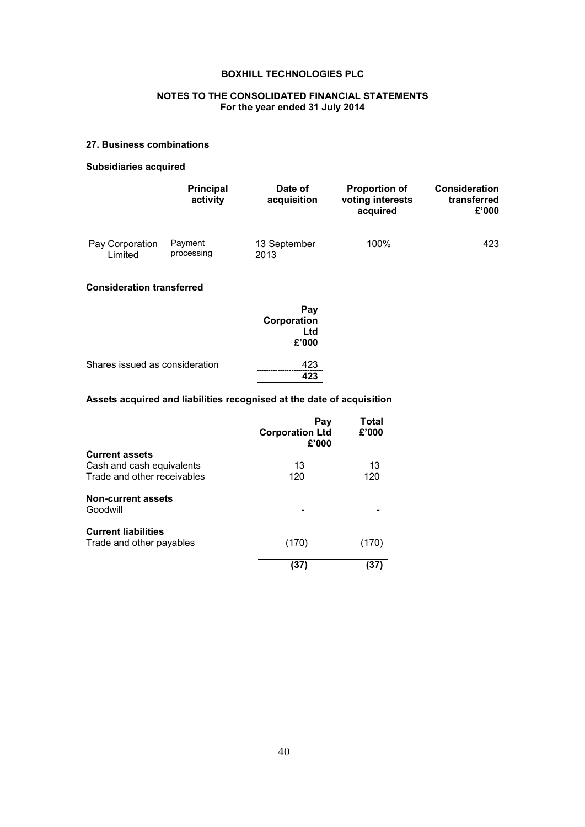# **NOTES TO THE CONSOLIDATED FINANCIAL STATEMENTS For the year ended 31 July 2014**

## **27. Business combinations**

# **Subsidiaries acquired**

|                            | <b>Principal</b><br>activity | Date of<br>acquisition | <b>Proportion of</b><br>voting interests<br>acquired | <b>Consideration</b><br>transferred<br>£'000 |
|----------------------------|------------------------------|------------------------|------------------------------------------------------|----------------------------------------------|
| Pay Corporation<br>Limited | Payment<br>processing        | 13 September<br>2013   | 100%                                                 | 423                                          |

# **Consideration transferred**

|                                | Pay<br>Corporation<br>Ltd<br>£'000 |
|--------------------------------|------------------------------------|
| Shares issued as consideration | 423<br>423                         |

# **Assets acquired and liabilities recognised at the date of acquisition**

|                                | Pay<br><b>Corporation Ltd</b><br>£'000 | Total<br>£'000 |
|--------------------------------|----------------------------------------|----------------|
| <b>Current assets</b>          |                                        |                |
| Cash and cash equivalents      | 13                                     | 13             |
| Trade and other receivables    | 120                                    | 120            |
| Non-current assets<br>Goodwill |                                        |                |
| <b>Current liabilities</b>     |                                        |                |
| Trade and other payables       | (170)                                  | (170)          |
|                                | 137                                    | 37             |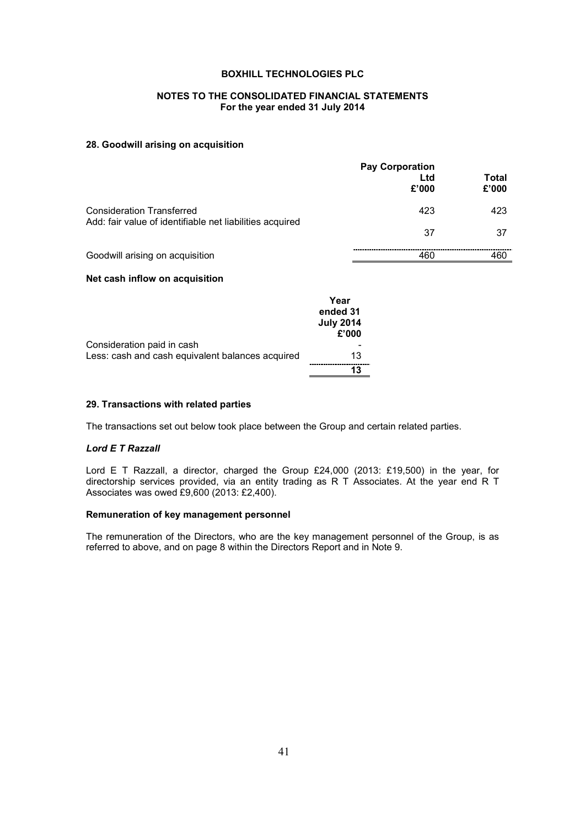# **NOTES TO THE CONSOLIDATED FINANCIAL STATEMENTS For the year ended 31 July 2014**

# **28. Goodwill arising on acquisition**

|                                                          | <b>Pay Corporation</b><br>Ltd<br>£'000 | Total<br>£'000 |
|----------------------------------------------------------|----------------------------------------|----------------|
| <b>Consideration Transferred</b>                         | 423                                    | 423            |
| Add: fair value of identifiable net liabilities acquired | 37                                     | 37             |
| Goodwill arising on acquisition                          | 460                                    | 460            |

### **Net cash inflow on acquisition**

|                                                  | Year             |
|--------------------------------------------------|------------------|
|                                                  | ended 31         |
|                                                  | <b>July 2014</b> |
|                                                  | £'000            |
| Consideration paid in cash                       |                  |
| Less: cash and cash equivalent balances acquired | 13               |
|                                                  | 13               |

### **29. Transactions with related parties**

The transactions set out below took place between the Group and certain related parties.

# *Lord E T Razzall*

Lord E T Razzall, a director, charged the Group £24,000 (2013: £19,500) in the year, for directorship services provided, via an entity trading as R T Associates. At the year end R T Associates was owed £9,600 (2013: £2,400).

# **Remuneration of key management personnel**

The remuneration of the Directors, who are the key management personnel of the Group, is as referred to above, and on page 8 within the Directors Report and in Note 9.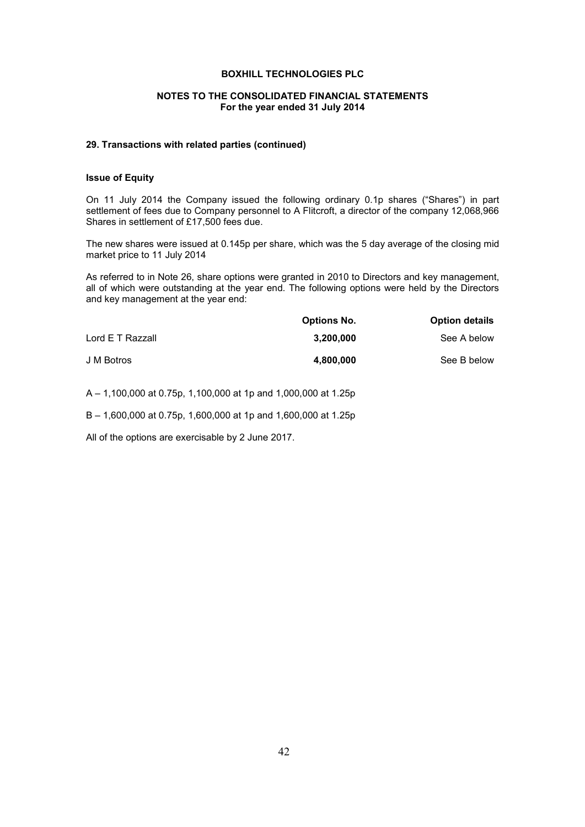# **NOTES TO THE CONSOLIDATED FINANCIAL STATEMENTS For the year ended 31 July 2014**

# **29. Transactions with related parties (continued)**

## **Issue of Equity**

On 11 July 2014 the Company issued the following ordinary 0.1p shares ("Shares") in part settlement of fees due to Company personnel to A Flitcroft, a director of the company 12,068,966 Shares in settlement of £17,500 fees due.

The new shares were issued at 0.145p per share, which was the 5 day average of the closing mid market price to 11 July 2014

As referred to in Note 26, share options were granted in 2010 to Directors and key management, all of which were outstanding at the year end. The following options were held by the Directors and key management at the year end:

|                  | <b>Options No.</b> | <b>Option details</b> |
|------------------|--------------------|-----------------------|
| Lord E T Razzall | 3,200,000          | See A below           |
| J M Botros       | 4.800.000          | See B below           |

A – 1,100,000 at 0.75p, 1,100,000 at 1p and 1,000,000 at 1.25p

B – 1,600,000 at 0.75p, 1,600,000 at 1p and 1,600,000 at 1.25p

All of the options are exercisable by 2 June 2017.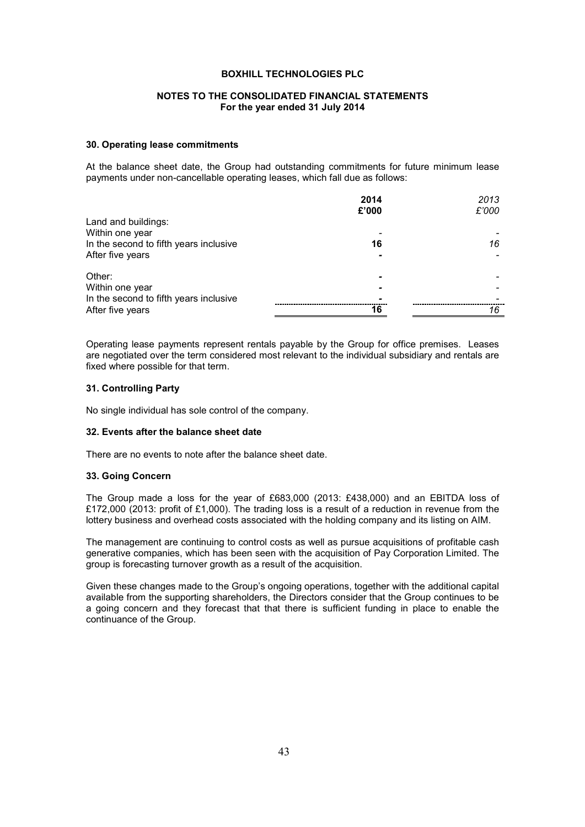### **NOTES TO THE CONSOLIDATED FINANCIAL STATEMENTS For the year ended 31 July 2014**

# **30. Operating lease commitments**

At the balance sheet date, the Group had outstanding commitments for future minimum lease payments under non-cancellable operating leases, which fall due as follows:

|                                                           | 2014<br>£'000 | 2013<br>£'000 |
|-----------------------------------------------------------|---------------|---------------|
| Land and buildings:<br>Within one year                    |               |               |
| In the second to fifth years inclusive                    | 16            | 16            |
| After five years                                          |               |               |
| Other:                                                    |               |               |
| Within one year<br>In the second to fifth years inclusive |               |               |
| After five years                                          | 16            | 16            |

Operating lease payments represent rentals payable by the Group for office premises. Leases are negotiated over the term considered most relevant to the individual subsidiary and rentals are fixed where possible for that term.

#### **31. Controlling Party**

No single individual has sole control of the company.

### **32. Events after the balance sheet date**

There are no events to note after the balance sheet date.

#### **33. Going Concern**

The Group made a loss for the year of £683,000 (2013: £438,000) and an EBITDA loss of £172,000 (2013: profit of £1,000). The trading loss is a result of a reduction in revenue from the lottery business and overhead costs associated with the holding company and its listing on AIM.

The management are continuing to control costs as well as pursue acquisitions of profitable cash generative companies, which has been seen with the acquisition of Pay Corporation Limited. The group is forecasting turnover growth as a result of the acquisition.

Given these changes made to the Group's ongoing operations, together with the additional capital available from the supporting shareholders, the Directors consider that the Group continues to be a going concern and they forecast that that there is sufficient funding in place to enable the continuance of the Group.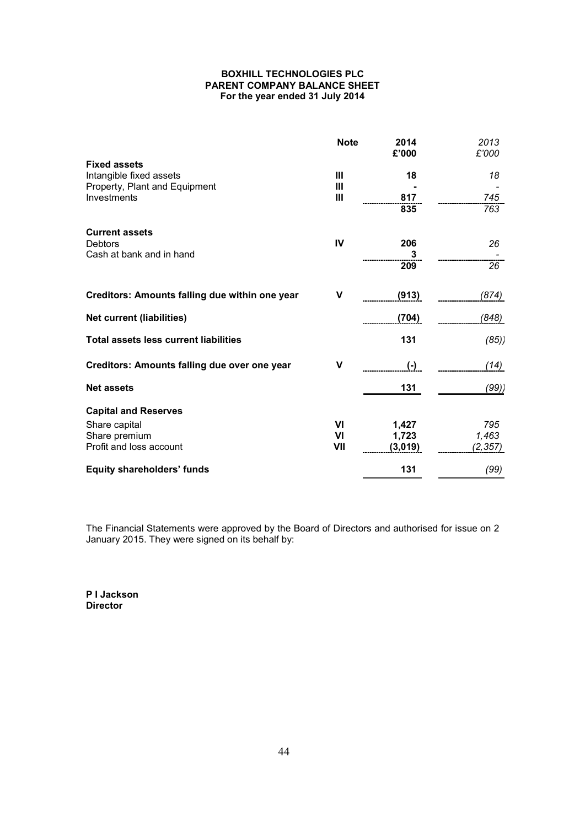# **BOXHILL TECHNOLOGIES PLC PARENT COMPANY BALANCE SHEET For the year ended 31 July 2014**

|                                                | <b>Note</b> | 2014<br>£'000     | 2013<br>£'000 |
|------------------------------------------------|-------------|-------------------|---------------|
| <b>Fixed assets</b>                            |             |                   |               |
| Intangible fixed assets                        | Ш           | 18                | 18            |
| Property, Plant and Equipment<br>Investments   | Ш<br>Ш      | 817               | 745           |
|                                                |             | 835               | 763           |
| <b>Current assets</b>                          |             |                   |               |
| <b>Debtors</b>                                 | IV          | 206               | 26            |
| Cash at bank and in hand                       |             |                   |               |
|                                                |             | 209               | 26            |
| Creditors: Amounts falling due within one year | v           | (913)             | (874)         |
| <b>Net current (liabilities)</b>               |             | (704)             | (848)         |
| <b>Total assets less current liabilities</b>   |             | 131               | (85)          |
| Creditors: Amounts falling due over one year   | v           | $\left( -\right)$ | (14)          |
| <b>Net assets</b>                              |             | 131               | (99))         |
| <b>Capital and Reserves</b>                    |             |                   |               |
| Share capital                                  | VI          | 1,427             | 795           |
| Share premium                                  | VI          | 1,723             | 1,463         |
| Profit and loss account                        | VII         | (3,019)           | (2, 357)      |
| <b>Equity shareholders' funds</b>              |             | 131               | (99)          |

The Financial Statements were approved by the Board of Directors and authorised for issue on 2 January 2015. They were signed on its behalf by:

**P I Jackson Director**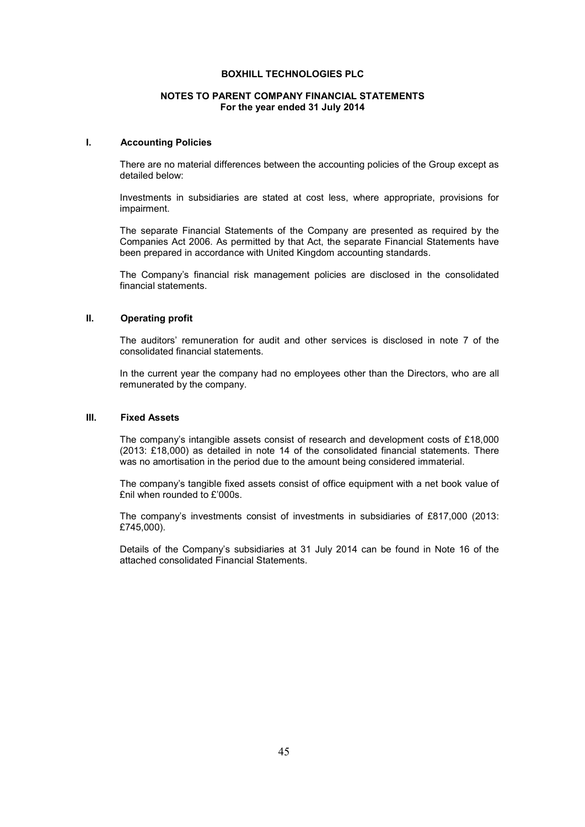## **NOTES TO PARENT COMPANY FINANCIAL STATEMENTS For the year ended 31 July 2014**

# **I. Accounting Policies**

There are no material differences between the accounting policies of the Group except as detailed below:

Investments in subsidiaries are stated at cost less, where appropriate, provisions for impairment.

The separate Financial Statements of the Company are presented as required by the Companies Act 2006. As permitted by that Act, the separate Financial Statements have been prepared in accordance with United Kingdom accounting standards.

The Company's financial risk management policies are disclosed in the consolidated financial statements.

# **II. Operating profit**

The auditors' remuneration for audit and other services is disclosed in note 7 of the consolidated financial statements.

In the current year the company had no employees other than the Directors, who are all remunerated by the company.

# **III. Fixed Assets**

The company's intangible assets consist of research and development costs of £18,000 (2013: £18,000) as detailed in note 14 of the consolidated financial statements. There was no amortisation in the period due to the amount being considered immaterial.

The company's tangible fixed assets consist of office equipment with a net book value of £nil when rounded to £'000s.

The company's investments consist of investments in subsidiaries of £817,000 (2013: £745,000).

Details of the Company's subsidiaries at 31 July 2014 can be found in Note 16 of the attached consolidated Financial Statements.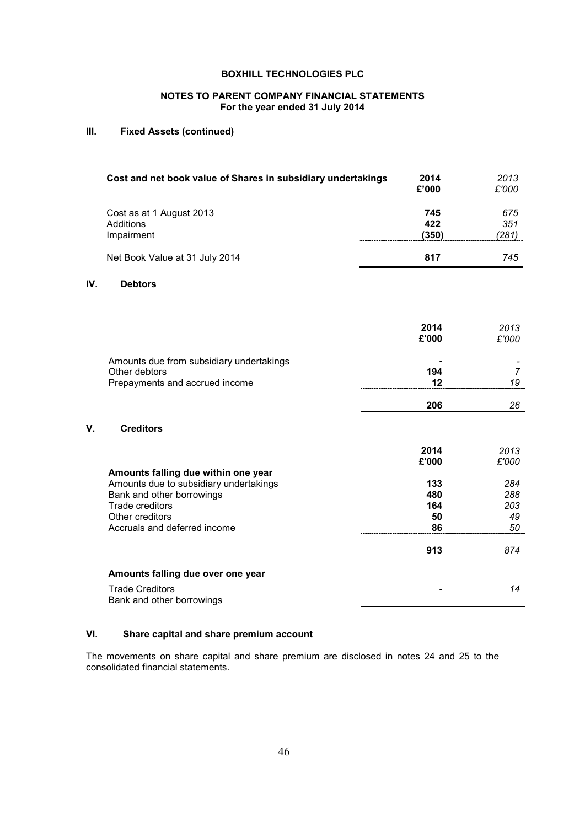# **NOTES TO PARENT COMPANY FINANCIAL STATEMENTS For the year ended 31 July 2014**

# **III. Fixed Assets (continued)**

| Cost and net book value of Shares in subsidiary undertakings | 2014<br>£'000       | 2013<br>£'000       |
|--------------------------------------------------------------|---------------------|---------------------|
| Cost as at 1 August 2013<br>Additions<br>Impairment          | 745<br>422<br>(350) | 675<br>351<br>(281) |
| Net Book Value at 31 July 2014                               | 817                 | 745                 |

# **IV. Debtors**

**V**.

|                                                     | 2014<br>£'000 | 2013<br>£'000 |
|-----------------------------------------------------|---------------|---------------|
| Amounts due from subsidiary undertakings            |               |               |
| Other debtors                                       | 194           | 7             |
| Prepayments and accrued income                      | 12            | 19            |
|                                                     | 206           | 26            |
| <b>Creditors</b>                                    |               |               |
|                                                     | 2014          | 2013          |
|                                                     | £'000         | £'000         |
| Amounts falling due within one year                 |               |               |
| Amounts due to subsidiary undertakings              | 133           | 284           |
| Bank and other borrowings                           | 480           | 288           |
| Trade creditors                                     | 164           | 203           |
| Other creditors                                     | 50            | 49            |
| Accruals and deferred income                        | 86            | 50            |
|                                                     | 913           | 874           |
| Amounts falling due over one year                   |               |               |
| <b>Trade Creditors</b><br>Bank and other borrowings |               | 14            |

# **VI. Share capital and share premium account**

The movements on share capital and share premium are disclosed in notes 24 and 25 to the consolidated financial statements.